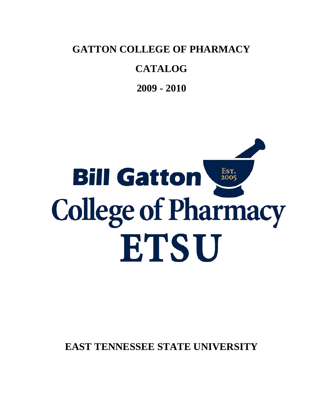**GATTON COLLEGE OF PHARMACY** 

# **CATALOG**

**2009 - 2010**

# Est.<br>2005 **Bill Gatton College of Pharmacy** ETSU

**EAST TENNESSEE STATE UNIVERSITY**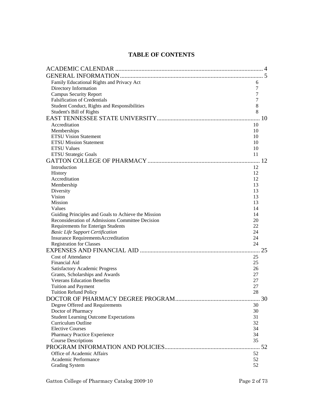# **TABLE OF CONTENTS**

| Family Educational Rights and Privacy Act                          | 6        |    |
|--------------------------------------------------------------------|----------|----|
| Directory Information                                              | 7        |    |
| <b>Campus Security Report</b>                                      | 7        |    |
| <b>Falsification of Credentials</b>                                | 7        |    |
| Student Conduct, Rights and Responsibilities                       | 8        |    |
| Student's Bill of Rights                                           | 8        |    |
|                                                                    |          |    |
| Accreditation                                                      | 10       |    |
| Memberships                                                        | 10       |    |
| <b>ETSU Vision Statement</b>                                       | 10       |    |
| <b>ETSU Mission Statement</b>                                      | 10       |    |
| <b>ETSU Values</b>                                                 | 10       |    |
| <b>ETSU Strategic Goals</b>                                        | 11       |    |
|                                                                    |          |    |
| Introduction                                                       | 12       |    |
| History                                                            | 12       |    |
| Accreditation                                                      | 12       |    |
| Membership                                                         | 13       |    |
| Diversity                                                          | 13       |    |
| Vision                                                             | 13       |    |
| <b>Mission</b>                                                     | 13       |    |
| Values                                                             | 14       |    |
| Guiding Principles and Goals to Achieve the Mission                | 14       |    |
| Reconsideration of Admissions Committee Decision                   | 20       |    |
| Requirements for Enterign Students                                 | 22       |    |
| <b>Basic Life Support Certification</b>                            | 24       |    |
| Insurance RequirementsAccreditation                                | 24       |    |
| <b>Registration for Classes</b>                                    | 24       |    |
|                                                                    |          | 25 |
| <b>Cost of Attendance</b>                                          | 25       |    |
| Financial Aid                                                      | 25       |    |
| <b>Satisfactory Academic Progress</b>                              | 26       |    |
| Grants, Scholarships and Awards                                    | 27       |    |
| <b>Veterans Education Benefits</b>                                 | 27       |    |
| <b>Tuition and Payment</b>                                         | 27       |    |
| <b>Tuition Refund Policy</b>                                       | 28       |    |
|                                                                    |          |    |
| Degree Offered and Requirements                                    | 30       |    |
| Doctor of Pharmacy                                                 | 30       |    |
| <b>Student Learning Outcome Expectations</b><br>Curriculum Outline | 31<br>32 |    |
| <b>Elective Courses</b>                                            | 34       |    |
| Pharmacy Practice Experience                                       | 34       |    |
| <b>Course Descriptions</b>                                         | 35       |    |
|                                                                    |          |    |
|                                                                    |          |    |
| Office of Academic Affairs<br>Academic Performance                 | 52<br>52 |    |
| <b>Grading System</b>                                              | 52       |    |
|                                                                    |          |    |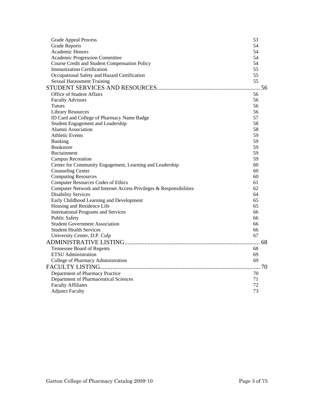| <b>Grade Appeal Process</b>                                        | 53 |  |
|--------------------------------------------------------------------|----|--|
| <b>Grade Reports</b>                                               | 54 |  |
| <b>Academic Honors</b>                                             | 54 |  |
| Academic Progression Committee                                     | 54 |  |
| Course Credit and Student Compensation Policy                      | 54 |  |
| <b>Immunization Certification</b>                                  | 55 |  |
| Occupational Safety and Hazard Certification                       | 55 |  |
| <b>Sexual Harassment Training</b>                                  | 55 |  |
|                                                                    |    |  |
| Office of Student Affairs                                          | 56 |  |
| <b>Faculty Advisors</b>                                            | 56 |  |
| <b>Tutors</b>                                                      | 56 |  |
| <b>Library Resources</b>                                           | 56 |  |
| ID Card and College of Pharmacy Name Badge                         | 57 |  |
| Student Engagement and Leadership                                  | 58 |  |
| Alumni Association                                                 | 58 |  |
| <b>Athletic Events</b>                                             | 59 |  |
| Banking                                                            | 59 |  |
| <b>Bookstore</b>                                                   | 59 |  |
| <b>Buctainment</b>                                                 | 59 |  |
| <b>Campus Recreation</b>                                           | 59 |  |
| Center for Community Engagement, Learning and Leadership           | 60 |  |
| <b>Counseling Center</b>                                           | 60 |  |
| <b>Computing Resources</b>                                         | 60 |  |
| <b>Computer Resources Codes of Ethics</b>                          | 61 |  |
| Computer Network and Internet Access Privileges & Responsibilities | 62 |  |
| <b>Disability Services</b>                                         | 64 |  |
| Early Childhood Learning and Development                           | 65 |  |
| Housing and Residence Life                                         | 65 |  |
| <b>International Programs and Services</b>                         | 66 |  |
| <b>Public Safety</b>                                               | 66 |  |
| <b>Student Government Association</b>                              | 66 |  |
| <b>Student Health Services</b>                                     | 66 |  |
| University Center, D.P. Culp                                       | 67 |  |
|                                                                    |    |  |
| Tennessee Board of Regents                                         | 68 |  |
| <b>ETSU</b> Administration                                         | 69 |  |
| College of Pharmacy Administration                                 | 69 |  |
|                                                                    |    |  |
| Department of Pharmacy Practice                                    | 70 |  |
| Department of Pharmaceutical Sciences                              | 71 |  |
| <b>Faculty Affiliates</b>                                          | 72 |  |
| <b>Adjunct Faculty</b>                                             | 73 |  |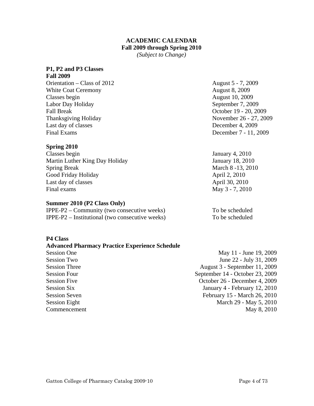## **ACADEMIC CALENDAR Fall 2009 through Spring 2010**

*(Subject to Change)* 

#### **P1, P2 and P3 Classes**

**Fall 2009**  Orientation – Class of 2012 August 5 - 7, 2009 White Coat Ceremony **August 8, 2009** Classes begin August 10, 2009 Labor Day Holiday September 7, 2009 Fall Break October 19 - 20, 2009 Thanksgiving Holiday November 26 - 27, 2009 Last day of classes December 4, 2009 Final Exams December 7 - 11, 2009

#### **Spring 2010**

Classes begin January 4, 2010 Martin Luther King Day Holiday January 18, 2010 Spring Break March 8 -13, 2010 Good Friday Holiday **April 2, 2010** Last day of classes April 30, 2010 Final exams May 3 - 7, 2010

#### **Summer 2010 (P2 Class Only)**

 $IPPE-P2 - Community$  (two consecutive weeks) To be scheduled IPPE-P2 – Institutional (two consecutive weeks) To be scheduled

# **P4 Class Advanced Pharmacy Practice Experience Schedule** Session One May 11 - June 19, 2009 Session Two June 22 - July 31, 2009 Session Three August 3 - September 11, 2009 Session Four<br>
September 14 - October 23, 2009 Session Five **Session Five**  Session Five **October 26** - December 4, 2009 Session Six January 4 - February 12, 2010 Session Seven February 15 - March 26, 2010 Session Eight March 29 - May 5, 2010 Commencement May 8, 2010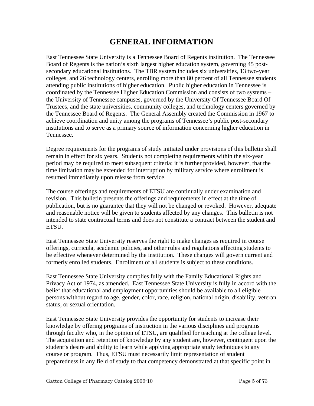# **GENERAL INFORMATION**

East Tennessee State University is a Tennessee Board of Regents institution. The Tennessee Board of Regents is the nation's sixth largest higher education system, governing 45 postsecondary educational institutions. The TBR system includes six universities, 13 two-year colleges, and 26 technology centers, enrolling more than 80 percent of all Tennessee students attending public institutions of higher education. Public higher education in Tennessee is coordinated by the Tennessee Higher Education Commission and consists of two systems – the University of Tennessee campuses, governed by the University Of Tennessee Board Of Trustees, and the state universities, community colleges, and technology centers governed by the Tennessee Board of Regents. The General Assembly created the Commission in 1967 to achieve coordination and unity among the programs of Tennessee's public post-secondary institutions and to serve as a primary source of information concerning higher education in Tennessee.

Degree requirements for the programs of study initiated under provisions of this bulletin shall remain in effect for six years. Students not completing requirements within the six-year period may be required to meet subsequent criteria; it is further provided, however, that the time limitation may be extended for interruption by military service where enrollment is resumed immediately upon release from service.

The course offerings and requirements of ETSU are continually under examination and revision. This bulletin presents the offerings and requirements in effect at the time of publication, but is no guarantee that they will not be changed or revoked. However, adequate and reasonable notice will be given to students affected by any changes. This bulletin is not intended to state contractual terms and does not constitute a contract between the student and ETSU.

East Tennessee State University reserves the right to make changes as required in course offerings, curricula, academic policies, and other rules and regulations affecting students to be effective whenever determined by the institution. These changes will govern current and formerly enrolled students. Enrollment of all students is subject to these conditions.

East Tennessee State University complies fully with the Family Educational Rights and Privacy Act of 1974, as amended. East Tennessee State University is fully in accord with the belief that educational and employment opportunities should be available to all eligible persons without regard to age, gender, color, race, religion, national origin, disability, veteran status, or sexual orientation.

East Tennessee State University provides the opportunity for students to increase their knowledge by offering programs of instruction in the various disciplines and programs through faculty who, in the opinion of ETSU, are qualified for teaching at the college level. The acquisition and retention of knowledge by any student are, however, contingent upon the student's desire and ability to learn while applying appropriate study techniques to any course or program. Thus, ETSU must necessarily limit representation of student preparedness in any field of study to that competency demonstrated at that specific point in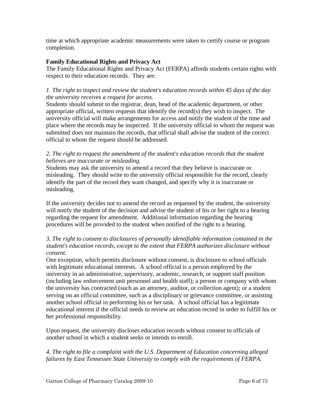time at which appropriate academic measurements were taken to certify course or program completion.

## **Family Educational Rights and Privacy Act**

The Family Educational Rights and Privacy Act (FERPA) affords students certain rights with respect to their education records. They are:

# *1. The right to inspect and review the student's education records within 45 days of the day the university receives a request for access.*

Students should submit to the registrar, dean, head of the academic department, or other appropriate official, written requests that identify the record(s) they wish to inspect. The university official will make arrangements for access and notify the student of the time and place where the records may be inspected. If the university official to whom the request was submitted does not maintain the records, that official shall advise the student of the correct official to whom the request should be addressed.

# 2. The right to request the amendment of the student's education records that the student *believes are inaccurate or misleading.*

Students may ask the university to amend a record that they believe is inaccurate or misleading. They should write to the university official responsible for the record, clearly identify the part of the record they want changed, and specify why it is inaccurate or misleading.

If the university decides not to amend the record as requested by the student, the university will notify the student of the decision and advise the student of his or her right to a hearing regarding the request for amendment. Additional information regarding the hearing procedures will be provided to the student when notified of the right to a hearing.

# *3. The right to consent to disclosures of personally identifiable information contained in the student's education records, except to the extent that FERPA authorizes disclosure without consent.*

One exception, which permits disclosure without consent, is disclosure to school officials with legitimate educational interests. A school official is a person employed by the university in an administrative, supervisory, academic, research, or support staff position (including law enforcement unit personnel and health staff); a person or company with whom the university has contracted (such as an attorney, auditor, or collection agent); or a student serving on an official committee, such as a disciplinary or grievance committee, or assisting another school official in performing his or her task. A school official has a legitimate educational interest if the official needs to review an education record in order to fulfill his or her professional responsibility.

Upon request, the university discloses education records without consent to officials of another school in which a student seeks or intends to enroll.

*4. The right to file a complaint with the U.S. Department of Education concerning alleged failures by East Tennessee State University to comply with the requirements of FERPA.*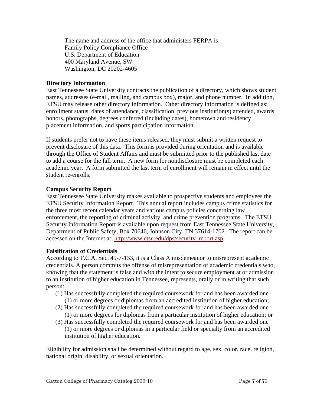The name and address of the office that administers FERPA is: Family Policy Compliance Office U.S. Department of Education 400 Maryland Avenue, SW Washington, DC 20202-4605

#### **Directory Information**

East Tennessee State University contracts the publication of a directory, which shows student names, addresses (e-mail, mailing, and campus box), major, and phone number. In addition, ETSU may release other directory information. Other directory information is defined as: enrollment status, dates of attendance, classification, previous institution(s) attended, awards, honors, photographs, degrees conferred (including dates), hometown and residency placement information, and sports participation information.

If students prefer not to have these items released, they must submit a written request to prevent disclosure of this data. This form is provided during orientation and is available through the Office of Student Affairs and must be submitted prior to the published last date to add a course for the fall term. A new form for nondisclosure must be completed each academic year. A form submitted the last term of enrollment will remain in effect until the student re-enrolls.

#### **Campus Security Report**

East Tennessee State University makes available to prospective students and employees the ETSU Security Information Report. This annual report includes campus crime statistics for the three most recent calendar years and various campus policies concerning law enforcement, the reporting of criminal activity, and crime prevention programs. The ETSU Security Information Report is available upon request from East Tennessee State University, Department of Public Safety, Box 70646, Johnson City, TN 37614-1702. The report can be accessed on the Internet at: http://www.etsu.edu/dps/security\_report.asp.

#### **Falsification of Credentials**

According to T.C.A. Sec. 49-7-133, it is a Class A misdemeanor to misrepresent academic credentials. A person commits the offense of misrepresentation of academic credentials who, knowing that the statement is false and with the intent to secure employment at or admission to an institution of higher education in Tennessee, represents, orally or in writing that such person:

- (1) Has successfully completed the required coursework for and has been awarded one
	- (1) or more degrees or diplomas from an accredited institution of higher education;
- (2) Has successfully completed the required coursework for and has been awarded one (1) or more degrees for diplomas from a particular institution of higher education; or
- (3) Has successfully completed the required coursework for and has been awarded one (1) or more degrees or diplomas in a particular field or specialty from an accredited institution of higher education.

Eligibility for admission shall be determined without regard to age, sex, color, race, religion, national origin, disability, or sexual orientation.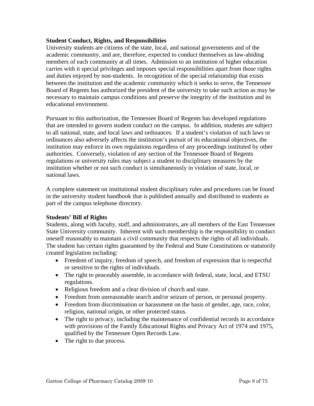#### **Student Conduct, Rights, and Responsibilities**

University students are citizens of the state, local, and national governments and of the academic community, and are, therefore, expected to conduct themselves as law-abiding members of each community at all times. Admission to an institution of higher education carries with it special privileges and imposes special responsibilities apart from those rights and duties enjoyed by non-students. In recognition of the special relationship that exists between the institution and the academic community which it seeks to serve, the Tennessee Board of Regents has authorized the president of the university to take such action as may be necessary to maintain campus conditions and preserve the integrity of the institution and its educational environment.

Pursuant to this authorization, the Tennessee Board of Regents has developed regulations that are intended to govern student conduct on the campus. In addition, students are subject to all national, state, and local laws and ordinances. If a student's violation of such laws or ordinances also adversely affects the institution's pursuit of its educational objectives, the institution may enforce its own regulations regardless of any proceedings instituted by other authorities. Conversely, violation of any section of the Tennessee Board of Regents regulations or university rules may subject a student to disciplinary measures by the institution whether or not such conduct is simultaneously in violation of state, local, or national laws.

A complete statement on institutional student disciplinary rules and procedures can be found in the university student handbook that is published annually and distributed to students as part of the campus telephone directory.

#### **Students' Bill of Rights**

Students, along with faculty, staff, and administrators, are all members of the East Tennessee State University community. Inherent with such membership is the responsibility to conduct oneself reasonably to maintain a civil community that respects the rights of all individuals. The student has certain rights guaranteed by the Federal and State Constitutions or statutorily created legislation including:

- Freedom of inquiry, freedom of speech, and freedom of expression that is respectful or sensitive to the rights of individuals.
- The right to peaceably assemble, in accordance with federal, state, local, and ETSU regulations.
- Religious freedom and a clear division of church and state.
- Freedom from unreasonable search and/or seizure of person, or personal property.
- Freedom from discrimination or harassment on the basis of gender, age, race, color, religion, national origin, or other protected status.
- The right to privacy, including the maintenance of confidential records in accordance with provisions of the Family Educational Rights and Privacy Act of 1974 and 1975, qualified by the Tennessee Open Records Law.
- The right to due process.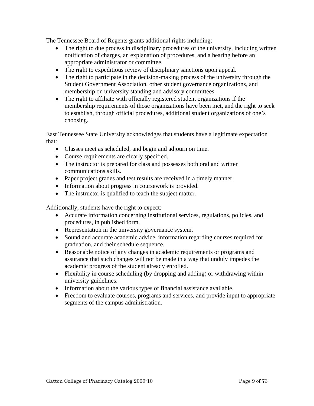The Tennessee Board of Regents grants additional rights including:

- The right to due process in disciplinary procedures of the university, including written notification of charges, an explanation of procedures, and a hearing before an appropriate administrator or committee.
- The right to expeditious review of disciplinary sanctions upon appeal.
- The right to participate in the decision-making process of the university through the Student Government Association, other student governance organizations, and membership on university standing and advisory committees.
- The right to affiliate with officially registered student organizations if the membership requirements of those organizations have been met, and the right to seek to establish, through official procedures, additional student organizations of one's choosing.

East Tennessee State University acknowledges that students have a legitimate expectation that:

- Classes meet as scheduled, and begin and adjourn on time.
- Course requirements are clearly specified.
- The instructor is prepared for class and possesses both oral and written communications skills.
- Paper project grades and test results are received in a timely manner.
- Information about progress in coursework is provided.
- The instructor is qualified to teach the subject matter.

Additionally, students have the right to expect:

- Accurate information concerning institutional services, regulations, policies, and procedures, in published form.
- Representation in the university governance system.
- Sound and accurate academic advice, information regarding courses required for graduation, and their schedule sequence.
- Reasonable notice of any changes in academic requirements or programs and assurance that such changes will not be made in a way that unduly impedes the academic progress of the student already enrolled.
- Flexibility in course scheduling (by dropping and adding) or withdrawing within university guidelines.
- Information about the various types of financial assistance available.
- Freedom to evaluate courses, programs and services, and provide input to appropriate segments of the campus administration.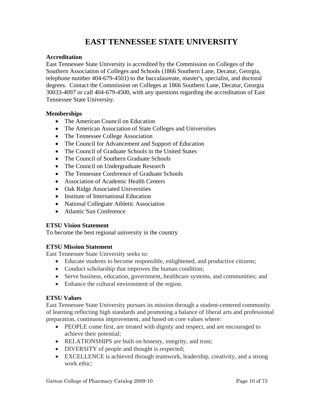# **EAST TENNESSEE STATE UNIVERSITY**

#### **Accreditation**

East Tennessee State University is accredited by the Commission on Colleges of the Southern Association of Colleges and Schools (1866 Southern Lane, Decatur, Georgia, telephone number 404-679-4501) to the baccalaureate, master's, specialist, and doctoral degrees. Contact the Commission on Colleges at 1866 Southern Lane, Decatur, Georgia 30033-4097 or call 404-679-4500, with any questions regarding the accreditation of East Tennessee State University.

#### **Memberships**

- The American Council on Education
- The American Association of State Colleges and Universities
- The Tennessee College Association
- The Council for Advancement and Support of Education
- The Council of Graduate Schools in the United States
- The Council of Southern Graduate Schools
- The Council on Undergraduate Research
- The Tennessee Conference of Graduate Schools
- Association of Academic Health Centers
- Oak Ridge Associated Universities
- Institute of International Education
- National Collegiate Athletic Association
- Atlantic Sun Conference

# **ETSU Vision Statement**

To become the best regional university in the country

# **ETSU Mission Statement**

East Tennessee State University seeks to:

- Educate students to become responsible, enlightened, and productive citizens;
- Conduct scholarship that improves the human condition;
- Serve business, education, government, healthcare systems, and communities; and
- Enhance the cultural environment of the region.

# **ETSU Values**

East Tennessee State University pursues its mission through a student-centered community of learning reflecting high standards and promoting a balance of liberal arts and professional preparation, continuous improvement, and based on core values where:

- PEOPLE come first, are treated with dignity and respect, and are encouraged to achieve their potential;
- RELATIONSHIPS are built on honesty, integrity, and trust;
- DIVERSITY of people and thought is respected;
- EXCELLENCE is achieved through teamwork, leadership, creativity, and a strong work ethic;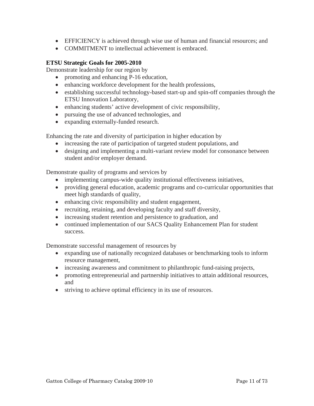- EFFICIENCY is achieved through wise use of human and financial resources; and
- COMMITMENT to intellectual achievement is embraced.

# **ETSU Strategic Goals for 2005-2010**

Demonstrate leadership for our region by

- promoting and enhancing P-16 education,
- enhancing workforce development for the health professions,
- establishing successful technology-based start-up and spin-off companies through the ETSU Innovation Laboratory,
- enhancing students' active development of civic responsibility,
- pursuing the use of advanced technologies, and
- expanding externally-funded research.

Enhancing the rate and diversity of participation in higher education by

- increasing the rate of participation of targeted student populations, and
- designing and implementing a multi-variant review model for consonance between student and/or employer demand.

Demonstrate quality of programs and services by

- implementing campus-wide quality institutional effectiveness initiatives,
- providing general education, academic programs and co-curricular opportunities that meet high standards of quality,
- enhancing civic responsibility and student engagement,
- recruiting, retaining, and developing faculty and staff diversity,
- increasing student retention and persistence to graduation, and
- continued implementation of our SACS Quality Enhancement Plan for student success.

Demonstrate successful management of resources by

- expanding use of nationally recognized databases or benchmarking tools to inform resource management,
- increasing awareness and commitment to philanthropic fund-raising projects,
- promoting entrepreneurial and partnership initiatives to attain additional resources, and
- striving to achieve optimal efficiency in its use of resources.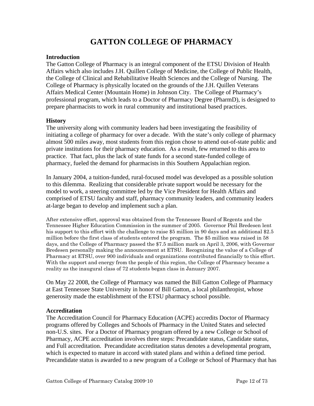# **GATTON COLLEGE OF PHARMACY**

#### **Introduction**

The Gatton College of Pharmacy is an integral component of the ETSU Division of Health Affairs which also includes J.H. Quillen College of Medicine, the College of Public Health, the College of Clinical and Rehabilitative Health Sciences and the College of Nursing. The College of Pharmacy is physically located on the grounds of the J.H. Quillen Veterans Affairs Medical Center (Mountain Home) in Johnson City. The College of Pharmacy's professional program, which leads to a Doctor of Pharmacy Degree (PharmD), is designed to prepare pharmacists to work in rural community and institutional based practices.

#### **History**

The university along with community leaders had been investigating the feasibility of initiating a college of pharmacy for over a decade. With the state's only college of pharmacy almost 500 miles away, most students from this region chose to attend out-of-state public and private institutions for their pharmacy education. As a result, few returned to this area to practice. That fact, plus the lack of state funds for a second state-funded college of pharmacy, fueled the demand for pharmacists in this Southern Appalachian region.

In January 2004, a tuition-funded, rural-focused model was developed as a possible solution to this dilemma. Realizing that considerable private support would be necessary for the model to work, a steering committee led by the Vice President for Health Affairs and comprised of ETSU faculty and staff, pharmacy community leaders, and community leaders at-large began to develop and implement such a plan.

After extensive effort, approval was obtained from the Tennessee Board of Regents and the Tennessee Higher Education Commission in the summer of 2005. Governor Phil Bredesen lent his support to this effort with the challenge to raise \$5 million in 90 days and an additional \$2.5 million before the first class of students entered the program. The \$5 million was raised in 58 days, and the College of Pharmacy passed the \$7.5 million mark on April 3, 2006, with Governor Bredesen personally making the announcement at ETSU. Recognizing the value of a College of Pharmacy at ETSU, over 900 individuals and organizations contributed financially to this effort. With the support and energy from the people of this region, the College of Pharmacy became a reality as the inaugural class of 72 students began class in January 2007.

On May 22 2008, the College of Pharmacy was named the Bill Gatton College of Pharmacy at East Tennessee State University in honor of Bill Gatton, a local philanthropist, whose generosity made the establishment of the ETSU pharmacy school possible.

# **Accreditation**

The Accreditation Council for Pharmacy Education (ACPE) accredits Doctor of Pharmacy programs offered by Colleges and Schools of Pharmacy in the United States and selected non-U.S. sites. For a Doctor of Pharmacy program offered by a new College or School of Pharmacy, ACPE accreditation involves three steps: Precandidate status, Candidate status, and Full accreditation. Precandidate accreditation status denotes a developmental program, which is expected to mature in accord with stated plans and within a defined time period. Precandidate status is awarded to a new program of a College or School of Pharmacy that has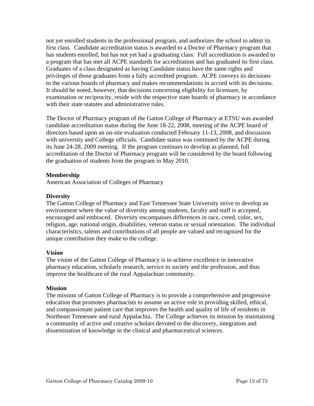not yet enrolled students in the professional program, and authorizes the school to admit its first class. Candidate accreditation status is awarded to a Doctor of Pharmacy program that has students enrolled, but has not yet had a graduating class. Full accreditation is awarded to a program that has met all ACPE standards for accreditation and has graduated its first class. Graduates of a class designated as having Candidate status have the same rights and privileges of those graduates from a fully accredited program. ACPE conveys its decisions to the various boards of pharmacy and makes recommendations in accord with its decisions. It should be noted, however, that decisions concerning eligibility for licensure, by examination or reciprocity, reside with the respective state boards of pharmacy in accordance with their state statutes and administrative rules.

The Doctor of Pharmacy program of the Gatton College of Pharmacy at ETSU was awarded candidate accreditation status during the June 18-22, 2008, meeting of the ACPE board of directors based upon an on-site evaluation conducted February 11-13, 2008, and discussion with university and College officials. Candidate status was continued by the ACPE during its June 24-28, 2009 meeting. If the program continues to develop as planned, full accreditation of the Doctor of Pharmacy program will be considered by the board following the graduation of students from the program in May 2010.

#### **Membership**

American Association of Colleges of Pharmacy

#### **Diversity**

The Gatton College of Pharmacy and East Tennessee State University strive to develop an environment where the value of diversity among students, faculty and staff is accepted, encouraged and embraced. Diversity encompasses differences in race, creed, color, sex, religion, age, national origin, disabilities, veteran status or sexual orientation. The individual characteristics, talents and contributions of all people are valued and recognized for the unique contribution they make to the college.

# **Vision**

The vision of the Gatton College of Pharmacy is to achieve excellence in innovative pharmacy education, scholarly research, service to society and the profession, and thus improve the healthcare of the rural Appalachian community.

#### **Mission**

The mission of Gatton College of Pharmacy is to provide a comprehensive and progressive education that promotes pharmacists to assume an active role in providing skilled, ethical, and compassionate patient care that improves the health and quality of life of residents in Northeast Tennessee and rural Appalachia. The College achieves its mission by maintaining a community of active and creative scholars devoted to the discovery, integration and dissemination of knowledge in the clinical and pharmaceutical sciences.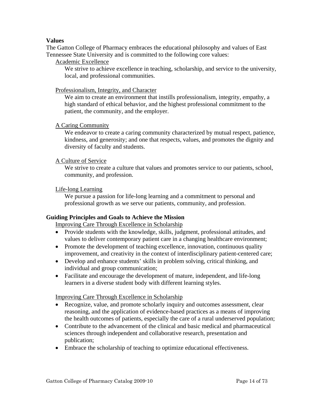#### **Values**

The Gatton College of Pharmacy embraces the educational philosophy and values of East Tennessee State University and is committed to the following core values:

#### Academic Excellence

We strive to achieve excellence in teaching, scholarship, and service to the university, local, and professional communities.

#### Professionalism, Integrity, and Character

We aim to create an environment that instills professionalism, integrity, empathy, a high standard of ethical behavior, and the highest professional commitment to the patient, the community, and the employer.

#### A Caring Community

We endeavor to create a caring community characterized by mutual respect, patience, kindness, and generosity; and one that respects, values, and promotes the dignity and diversity of faculty and students.

#### A Culture of Service

We strive to create a culture that values and promotes service to our patients, school, community, and profession.

#### Life-long Learning

We pursue a passion for life-long learning and a commitment to personal and professional growth as we serve our patients, community, and profession.

#### **Guiding Principles and Goals to Achieve the Mission**

Improving Care Through Excellence in Scholarship

- Provide students with the knowledge, skills, judgment, professional attitudes, and values to deliver contemporary patient care in a changing healthcare environment;
- Promote the development of teaching excellence, innovation, continuous quality improvement, and creativity in the context of interdisciplinary patient-centered care;
- Develop and enhance students' skills in problem solving, critical thinking, and individual and group communication;
- Facilitate and encourage the development of mature, independent, and life-long learners in a diverse student body with different learning styles.

#### Improving Care Through Excellence in Scholarship

- Recognize, value, and promote scholarly inquiry and outcomes assessment, clear reasoning, and the application of evidence-based practices as a means of improving the health outcomes of patients, especially the care of a rural underserved population;
- Contribute to the advancement of the clinical and basic medical and pharmaceutical sciences through independent and collaborative research, presentation and publication;
- Embrace the scholarship of teaching to optimize educational effectiveness.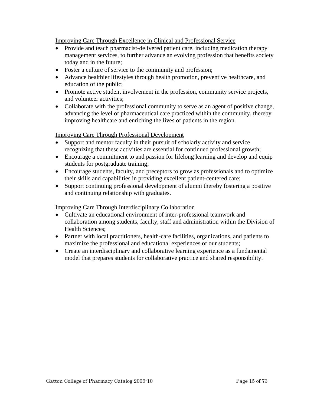Improving Care Through Excellence in Clinical and Professional Service

- Provide and teach pharmacist-delivered patient care, including medication therapy management services, to further advance an evolving profession that benefits society today and in the future;
- Foster a culture of service to the community and profession;
- Advance healthier lifestyles through health promotion, preventive healthcare, and education of the public;
- Promote active student involvement in the profession, community service projects, and volunteer activities;
- Collaborate with the professional community to serve as an agent of positive change, advancing the level of pharmaceutical care practiced within the community, thereby improving healthcare and enriching the lives of patients in the region.

Improving Care Through Professional Development

- Support and mentor faculty in their pursuit of scholarly activity and service recognizing that these activities are essential for continued professional growth;
- Encourage a commitment to and passion for lifelong learning and develop and equip students for postgraduate training;
- Encourage students, faculty, and preceptors to grow as professionals and to optimize their skills and capabilities in providing excellent patient-centered care;
- Support continuing professional development of alumni thereby fostering a positive and continuing relationship with graduates.

# Improving Care Through Interdisciplinary Collaboration

- Cultivate an educational environment of inter-professional teamwork and collaboration among students, faculty, staff and administration within the Division of Health Sciences;
- Partner with local practitioners, health-care facilities, organizations, and patients to maximize the professional and educational experiences of our students;
- Create an interdisciplinary and collaborative learning experience as a fundamental model that prepares students for collaborative practice and shared responsibility.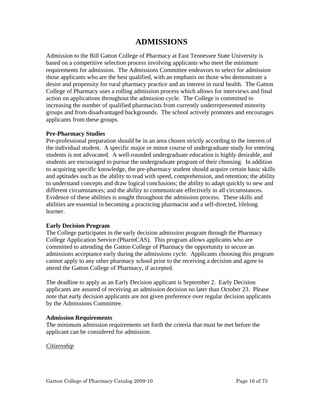# **ADMISSIONS**

Admission to the Bill Gatton College of Pharmacy at East Tennessee State University is based on a competitive selection process involving applicants who meet the minimum requirements for admission. The Admissions Committee endeavors to select for admission those applicants who are the best qualified, with an emphasis on those who demonstrate a desire and propensity for rural pharmacy practice and an interest in rural health. The Gatton College of Pharmacy uses a rolling admission process which allows for interviews and final action on applications throughout the admission cycle. The College is committed to increasing the number of qualified pharmacists from currently underrepresented minority groups and from disadvantaged backgrounds. The school actively promotes and encourages applicants from these groups.

#### **Pre-Pharmacy Studies**

Pre-professional preparation should be in an area chosen strictly according to the interest of the individual student. A specific major or minor course of undergraduate study for entering students is not advocated. A well-rounded undergraduate education is highly desirable, and students are encouraged to pursue the undergraduate program of their choosing. In addition to acquiring specific knowledge, the pre-pharmacy student should acquire certain basic skills and aptitudes such as the ability to read with speed, comprehension, and retention; the ability to understand concepts and draw logical conclusions; the ability to adapt quickly to new and different circumstances; and the ability to communicate effectively in all circumstances. Evidence of these abilities is sought throughout the admission process. These skills and abilities are essential in becoming a practicing pharmacist and a self-directed, lifelong learner.

#### **Early Decision Program**

The College participates in the early decision admission program through the Pharmacy College Application Service (PharmCAS). This program allows applicants who are committed to attending the Gatton College of Pharmacy the opportunity to secure an admissions acceptance early during the admissions cycle. Applicants choosing this program cannot apply to any other pharmacy school prior to the receiving a decision and agree to attend the Gatton College of Pharmacy, if accepted.

The deadline to apply as an Early Decision applicant is September 2. Early Decision applicants are assured of receiving an admission decision no later than October 23. Please note that early decision applicants are not given preference over regular decision applicants by the Admissions Committee.

#### **Admission Requirements**

The minimum admission requirements set forth the criteria that must be met before the applicant can be considered for admission.

#### *Citizenship*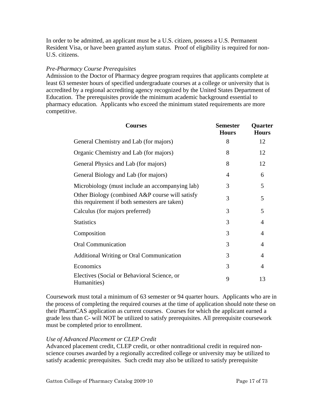In order to be admitted, an applicant must be a U.S. citizen, possess a U.S. Permanent Resident Visa, or have been granted asylum status. Proof of eligibility is required for non-U.S. citizens.

#### *Pre-Pharmacy Course Prerequisites*

Admission to the Doctor of Pharmacy degree program requires that applicants complete at least 63 semester hours of specified undergraduate courses at a college or university that is accredited by a regional accrediting agency recognized by the United States Department of Education. The prerequisites provide the minimum academic background essential to pharmacy education. Applicants who exceed the minimum stated requirements are more competitive.

| <b>Courses</b>                                                                                   | <b>Semester</b><br><b>Hours</b> | <b>Quarter</b><br><b>Hours</b> |
|--------------------------------------------------------------------------------------------------|---------------------------------|--------------------------------|
| General Chemistry and Lab (for majors)                                                           | 8                               | 12                             |
| Organic Chemistry and Lab (for majors)                                                           | 8                               | 12                             |
| General Physics and Lab (for majors)                                                             | 8                               | 12                             |
| General Biology and Lab (for majors)                                                             | 4                               | 6                              |
| Microbiology (must include an accompanying lab)                                                  | 3                               | 5                              |
| Other Biology (combined A&P course will satisfy<br>this requirement if both semesters are taken) | 3                               | 5                              |
| Calculus (for majors preferred)                                                                  | 3                               | 5                              |
| <b>Statistics</b>                                                                                | 3                               | 4                              |
| Composition                                                                                      | 3                               | 4                              |
| <b>Oral Communication</b>                                                                        | 3                               | 4                              |
| <b>Additional Writing or Oral Communication</b>                                                  | 3                               | 4                              |
| Economics                                                                                        | 3                               | 4                              |
| Electives (Social or Behavioral Science, or<br>Humanities)                                       | 9                               | 13                             |

Coursework must total a minimum of 63 semester or 94 quarter hours. Applicants who are in the process of completing the required courses at the time of application should note these on their PharmCAS application as current courses. Courses for which the applicant earned a grade less than C- will NOT be utilized to satisfy prerequisites. All prerequisite coursework must be completed prior to enrollment.

#### *Use of Advanced Placement or CLEP Credit*

Advanced placement credit, CLEP credit, or other nontraditional credit in required nonscience courses awarded by a regionally accredited college or university may be utilized to satisfy academic prerequisites. Such credit may also be utilized to satisfy prerequisite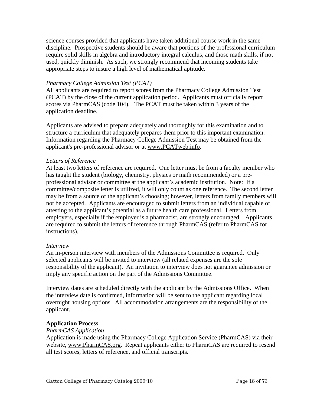science courses provided that applicants have taken additional course work in the same discipline. Prospective students should be aware that portions of the professional curriculum require solid skills in algebra and introductory integral calculus, and those math skills, if not used, quickly diminish. As such, we strongly recommend that incoming students take appropriate steps to insure a high level of mathematical aptitude.

#### *Pharmacy College Admission Test (PCAT)*

All applicants are required to report scores from the Pharmacy College Admission Test (PCAT) by the close of the current application period. Applicants must officially report scores via PharmCAS (code 104). The PCAT must be taken within 3 years of the application deadline.

Applicants are advised to prepare adequately and thoroughly for this examination and to structure a curriculum that adequately prepares them prior to this important examination. Information regarding the Pharmacy College Admission Test may be obtained from the applicant's pre-professional advisor or at www.PCATweb.info.

#### *Letters of Reference*

At least two letters of reference are required. One letter must be from a faculty member who has taught the student (biology, chemistry, physics or math recommended) or a preprofessional advisor or committee at the applicant's academic institution. Note: If a committee/composite letter is utilized, it will only count as one reference. The second letter may be from a source of the applicant's choosing; however, letters from family members will not be accepted. Applicants are encouraged to submit letters from an individual capable of attesting to the applicant's potential as a future health care professional. Letters from employers, especially if the employer is a pharmacist, are strongly encouraged. Applicants are required to submit the letters of reference through PharmCAS (refer to PharmCAS for instructions).

#### *Interview*

An in-person interview with members of the Admissions Committee is required. Only selected applicants will be invited to interview (all related expenses are the sole responsibility of the applicant). An invitation to interview does not guarantee admission or imply any specific action on the part of the Admissions Committee.

Interview dates are scheduled directly with the applicant by the Admissions Office. When the interview date is confirmed, information will be sent to the applicant regarding local overnight housing options. All accommodation arrangements are the responsibility of the applicant.

#### **Application Process**

#### *PharmCAS Application*

Application is made using the Pharmacy College Application Service (PharmCAS) via their website, www.PharmCAS.org. Repeat applicants either to PharmCAS are required to resend all test scores, letters of reference, and official transcripts.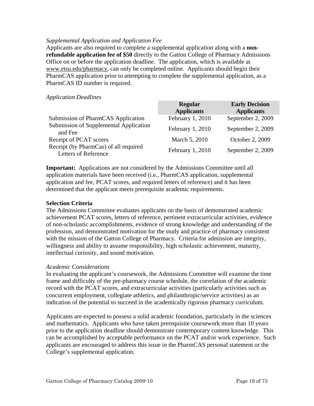#### *Supplemental Application and Application Fee*

Applicants are also required to complete a supplemental application along with a **nonrefundable application fee of \$50** directly to the Gatton College of Pharmacy Admissions Office on or before the application deadline. The application, which is available at www.etsu.edu/pharmacy, can only be completed online. Applicants should begin their PharmCAS application prior to attempting to complete the supplemental application, as a PharmCAS ID number is required.

#### *Application Deadlines*

|                                                                      | <b>Regular</b>    | <b>Early Decision</b> |
|----------------------------------------------------------------------|-------------------|-----------------------|
|                                                                      | <b>Applicants</b> | <b>Applicants</b>     |
| Submission of PharmCAS Application                                   | February 1, 2010  | September 2, 2009     |
| Submission of Supplemental Application<br>and Fee                    | February 1, 2010  | September 2, 2009     |
| Receipt of PCAT scores                                               | March 5, 2010     | October 2, 2009       |
| Receipt (by PharmCas) of all required<br><b>Letters of Reference</b> | February 1, 2010  | September 2, 2009     |

**Important:** Applications are not considered by the Admissions Committee until all application materials have been received (i.e., PharmCAS application, supplemental application and fee, PCAT scores, and required letters of reference) and it has been determined that the applicant meets prerequisite academic requirements.

#### **Selection Criteria**

The Admissions Committee evaluates applicants on the basis of demonstrated academic achievement PCAT scores, letters of reference, pertinent extracurricular activities, evidence of non-scholastic accomplishments, evidence of strong knowledge and understanding of the profession, and demonstrated motivation for the study and practice of pharmacy consistent with the mission of the Gatton College of Pharmacy. Criteria for admission are integrity, willingness and ability to assume responsibility, high scholastic achievement, maturity, intellectual curiosity, and sound motivation.

#### *Academic Considerations*

In evaluating the applicant's coursework, the Admissions Committee will examine the time frame and difficulty of the pre-pharmacy course schedule, the correlation of the academic record with the PCAT scores, and extracurricular activities (particularly activities such as concurrent employment, collegiate athletics, and philanthropic/service activities) as an indication of the potential to succeed in the academically rigorous pharmacy curriculum.

Applicants are expected to possess a solid academic foundation, particularly in the sciences and mathematics. Applicants who have taken prerequisite coursework more than 10 years prior to the application deadline should demonstrate contemporary content knowledge. This can be accomplished by acceptable performance on the PCAT and/or work experience. Such applicants are encouraged to address this issue in the PharmCAS personal statement or the College's supplemental application.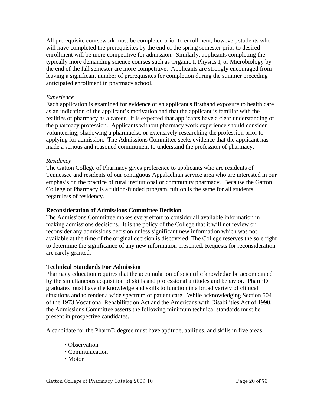All prerequisite coursework must be completed prior to enrollment; however, students who will have completed the prerequisites by the end of the spring semester prior to desired enrollment will be more competitive for admission. Similarly, applicants completing the typically more demanding science courses such as Organic I, Physics I, or Microbiology by the end of the fall semester are more competitive. Applicants are strongly encouraged from leaving a significant number of prerequisites for completion during the summer preceding anticipated enrollment in pharmacy school.

#### *Experience*

Each application is examined for evidence of an applicant's firsthand exposure to health care as an indication of the applicant's motivation and that the applicant is familiar with the realities of pharmacy as a career. It is expected that applicants have a clear understanding of the pharmacy profession. Applicants without pharmacy work experience should consider volunteering, shadowing a pharmacist, or extensively researching the profession prior to applying for admission. The Admissions Committee seeks evidence that the applicant has made a serious and reasoned commitment to understand the profession of pharmacy.

#### *Residency*

The Gatton College of Pharmacy gives preference to applicants who are residents of Tennessee and residents of our contiguous Appalachian service area who are interested in our emphasis on the practice of rural institutional or community pharmacy. Because the Gatton College of Pharmacy is a tuition-funded program, tuition is the same for all students regardless of residency.

#### **Reconsideration of Admissions Committee Decision**

The Admissions Committee makes every effort to consider all available information in making admissions decisions. It is the policy of the College that it will not review or reconsider any admissions decision unless significant new information which was not available at the time of the original decision is discovered. The College reserves the sole right to determine the significance of any new information presented. Requests for reconsideration are rarely granted.

#### **Technical Standards For Admission**

Pharmacy education requires that the accumulation of scientific knowledge be accompanied by the simultaneous acquisition of skills and professional attitudes and behavior. PharmD graduates must have the knowledge and skills to function in a broad variety of clinical situations and to render a wide spectrum of patient care. While acknowledging Section 504 of the 1973 Vocational Rehabilitation Act and the Americans with Disabilities Act of 1990, the Admissions Committee asserts the following minimum technical standards must be present in prospective candidates.

A candidate for the PharmD degree must have aptitude, abilities, and skills in five areas:

- Observation
- Communication
- Motor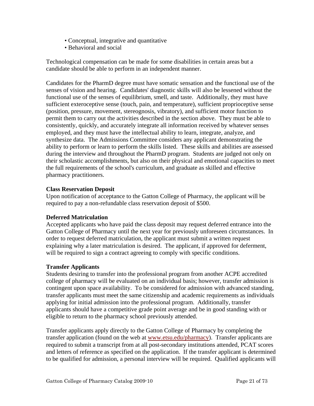- Conceptual, integrative and quantitative
- Behavioral and social

Technological compensation can be made for some disabilities in certain areas but a candidate should be able to perform in an independent manner.

Candidates for the PharmD degree must have somatic sensation and the functional use of the senses of vision and hearing. Candidates' diagnostic skills will also be lessened without the functional use of the senses of equilibrium, smell, and taste. Additionally, they must have sufficient exteroceptive sense (touch, pain, and temperature), sufficient proprioceptive sense (position, pressure, movement, stereognosis, vibratory), and sufficient motor function to permit them to carry out the activities described in the section above. They must be able to consistently, quickly, and accurately integrate all information received by whatever senses employed, and they must have the intellectual ability to learn, integrate, analyze, and synthesize data. The Admissions Committee considers any applicant demonstrating the ability to perform or learn to perform the skills listed. These skills and abilities are assessed during the interview and throughout the PharmD program. Students are judged not only on their scholastic accomplishments, but also on their physical and emotional capacities to meet the full requirements of the school's curriculum, and graduate as skilled and effective pharmacy practitioners.

# **Class Reservation Deposit**

Upon notification of acceptance to the Gatton College of Pharmacy, the applicant will be required to pay a non-refundable class reservation deposit of \$500.

# **Deferred Matriculation**

Accepted applicants who have paid the class deposit may request deferred entrance into the Gatton College of Pharmacy until the next year for previously unforeseen circumstances. In order to request deferred matriculation, the applicant must submit a written request explaining why a later matriculation is desired. The applicant, if approved for deferment, will be required to sign a contract agreeing to comply with specific conditions.

# **Transfer Applicants**

Students desiring to transfer into the professional program from another ACPE accredited college of pharmacy will be evaluated on an individual basis; however, transfer admission is contingent upon space availability. To be considered for admission with advanced standing, transfer applicants must meet the same citizenship and academic requirements as individuals applying for initial admission into the professional program. Additionally, transfer applicants should have a competitive grade point average and be in good standing with or eligible to return to the pharmacy school previously attended.

Transfer applicants apply directly to the Gatton College of Pharmacy by completing the transfer application (found on the web at www.etsu.edu/pharmacy). Transfer applicants are required to submit a transcript from at all post-secondary institutions attended, PCAT scores and letters of reference as specified on the application. If the transfer applicant is determined to be qualified for admission, a personal interview will be required. Qualified applicants will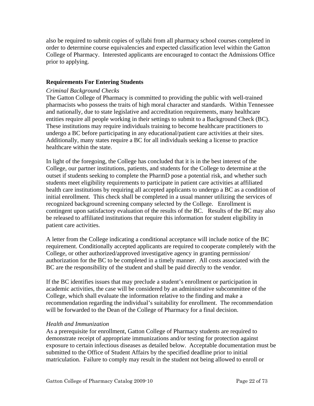also be required to submit copies of syllabi from all pharmacy school courses completed in order to determine course equivalencies and expected classification level within the Gatton College of Pharmacy. Interested applicants are encouraged to contact the Admissions Office prior to applying.

#### **Requirements For Entering Students**

#### *Criminal Background Checks*

The Gatton College of Pharmacy is committed to providing the public with well-trained pharmacists who possess the traits of high moral character and standards. Within Tennessee and nationally, due to state legislative and accreditation requirements, many healthcare entities require all people working in their settings to submit to a Background Check (BC). These institutions may require individuals training to become healthcare practitioners to undergo a BC before participating in any educational/patient care activities at their sites. Additionally, many states require a BC for all individuals seeking a license to practice healthcare within the state.

In light of the foregoing, the College has concluded that it is in the best interest of the College, our partner institutions, patients, and students for the College to determine at the outset if students seeking to complete the PharmD pose a potential risk, and whether such students meet eligibility requirements to participate in patient care activities at affiliated health care institutions by requiring all accepted applicants to undergo a BC as a condition of initial enrollment. This check shall be completed in a usual manner utilizing the services of recognized background screening company selected by the College. Enrollment is contingent upon satisfactory evaluation of the results of the BC. Results of the BC may also be released to affiliated institutions that require this information for student eligibility in patient care activities.

A letter from the College indicating a conditional acceptance will include notice of the BC requirement. Conditionally accepted applicants are required to cooperate completely with the College, or other authorized/approved investigative agency in granting permission/ authorization for the BC to be completed in a timely manner. All costs associated with the BC are the responsibility of the student and shall be paid directly to the vendor.

If the BC identifies issues that may preclude a student's enrollment or participation in academic activities, the case will be considered by an administrative subcommittee of the College, which shall evaluate the information relative to the finding and make a recommendation regarding the individual's suitability for enrollment. The recommendation will be forwarded to the Dean of the College of Pharmacy for a final decision.

#### *Health and Immunization*

As a prerequisite for enrollment, Gatton College of Pharmacy students are required to demonstrate receipt of appropriate immunizations and/or testing for protection against exposure to certain infectious diseases as detailed below. Acceptable documentation must be submitted to the Office of Student Affairs by the specified deadline prior to initial matriculation. Failure to comply may result in the student not being allowed to enroll or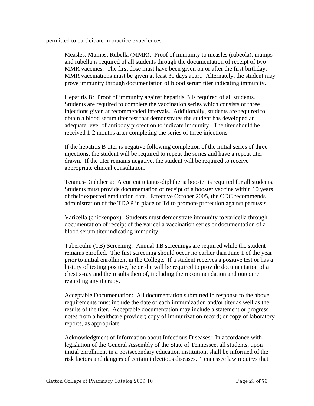permitted to participate in practice experiences.

Measles, Mumps, Rubella (MMR): Proof of immunity to measles (rubeola), mumps and rubella is required of all students through the documentation of receipt of two MMR vaccines. The first dose must have been given on or after the first birthday. MMR vaccinations must be given at least 30 days apart. Alternately, the student may prove immunity through documentation of blood serum titer indicating immunity.

Hepatitis B: Proof of immunity against hepatitis B is required of all students. Students are required to complete the vaccination series which consists of three injections given at recommended intervals. Additionally, students are required to obtain a blood serum titer test that demonstrates the student has developed an adequate level of antibody protection to indicate immunity. The titer should be received 1-2 months after completing the series of three injections.

If the hepatitis B titer is negative following completion of the initial series of three injections, the student will be required to repeat the series and have a repeat titer drawn. If the titer remains negative, the student will be required to receive appropriate clinical consultation.

Tetanus-Diphtheria: A current tetanus-diphtheria booster is required for all students. Students must provide documentation of receipt of a booster vaccine within 10 years of their expected graduation date. Effective October 2005, the CDC recommends administration of the TDAP in place of Td to promote protection against pertussis.

Varicella (chickenpox): Students must demonstrate immunity to varicella through documentation of receipt of the varicella vaccination series or documentation of a blood serum titer indicating immunity.

Tuberculin (TB) Screening: Annual TB screenings are required while the student remains enrolled. The first screening should occur no earlier than June 1 of the year prior to initial enrollment in the College. If a student receives a positive test or has a history of testing positive, he or she will be required to provide documentation of a chest x-ray and the results thereof, including the recommendation and outcome regarding any therapy.

Acceptable Documentation: All documentation submitted in response to the above requirements must include the date of each immunization and/or titer as well as the results of the titer. Acceptable documentation may include a statement or progress notes from a healthcare provider; copy of immunization record; or copy of laboratory reports, as appropriate.

Acknowledgment of Information about Infectious Diseases: In accordance with legislation of the General Assembly of the State of Tennessee, all students, upon initial enrollment in a postsecondary education institution, shall be informed of the risk factors and dangers of certain infectious diseases. Tennessee law requires that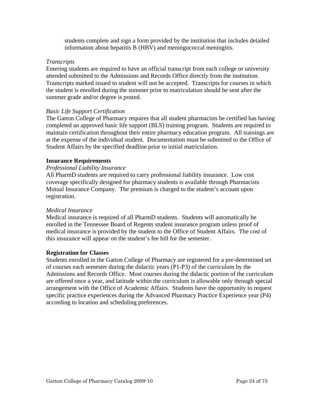students complete and sign a form provided by the institution that includes detailed information about hepatitis B (HBV) and meningococcal meningitis.

#### *Transcripts*

Entering students are required to have an official transcript from each college or university attended submitted to the Admissions and Records Office directly from the institution. Transcripts marked issued to student will not be accepted. Transcripts for courses in which the student is enrolled during the summer prior to matriculation should be sent after the summer grade and/or degree is posted.

#### *Basic Life Support Certification*

The Gatton College of Pharmacy requires that all student pharmacists be certified has having completed an approved basic life support (BLS) training program. Students are required to maintain certification throughout their entire pharmacy education program. All trainings are at the expense of the individual student. Documentation must be submitted to the Office of Student Affairs by the specified deadline prior to initial matriculation.

#### **Insurance Requirements**

#### *Professional Liability Insurance*

All PharmD students are required to carry professional liability insurance. Low cost coverage specifically designed for pharmacy students is available through Pharmacists Mutual Insurance Company. The premium is charged to the student's account upon registration.

#### *Medical Insurance*

Medical insurance is required of all PharmD students. Students will automatically be enrolled in the Tennessee Board of Regents student insurance program unless proof of medical insurance is provided by the student to the Office of Student Affairs. The cost of this insurance will appear on the student's fee bill for the semester.

#### **Registration for Classes**

Students enrolled in the Gatton College of Pharmacy are registered for a pre-determined set of courses each semester during the didactic years (P1-P3) of the curriculum by the Admissions and Records Office. Most courses during the didactic portion of the curriculum are offered once a year, and latitude within the curriculum is allowable only through special arrangement with the Office of Academic Affairs. Students have the opportunity to request specific practice experiences during the Advanced Pharmacy Practice Experience year (P4) according to location and scheduling preferences.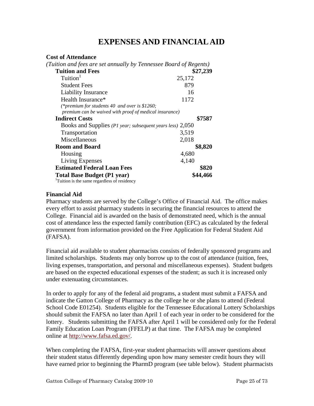# **EXPENSES AND FINANCIAL AID**

#### **Cost of Attendance**

| (Tuition and fees are set annually by Tennessee Board of Regents)                                       |          |
|---------------------------------------------------------------------------------------------------------|----------|
| <b>Tuition and Fees</b>                                                                                 | \$27,239 |
| Tuition <sup>1</sup>                                                                                    | 25,172   |
| <b>Student Fees</b>                                                                                     | 879      |
| <b>Liability Insurance</b>                                                                              | 16       |
| Health Insurance*                                                                                       | 1172     |
| (*premium for students 40 and over is \$1260;<br>premium can be waived with proof of medical insurance) |          |
| <b>Indirect Costs</b>                                                                                   | \$7587   |
| Books and Supplies (P1 year; subsequent years less) 2,050                                               |          |
| Transportation                                                                                          | 3,519    |
| Miscellaneous                                                                                           | 2,018    |
| <b>Room and Board</b>                                                                                   | \$8,820  |
| Housing                                                                                                 | 4,680    |
| Living Expenses                                                                                         | 4,140    |
| <b>Estimated Federal Loan Fees</b>                                                                      | \$820    |
| <b>Total Base Budget (P1 year)</b>                                                                      | \$44,466 |
| <sup>1</sup> Tuition is the same regardless of residency                                                |          |

#### **Financial Aid**

Pharmacy students are served by the College's Office of Financial Aid. The office makes every effort to assist pharmacy students in securing the financial resources to attend the College. Financial aid is awarded on the basis of demonstrated need, which is the annual cost of attendance less the expected family contribution (EFC) as calculated by the federal government from information provided on the Free Application for Federal Student Aid (FAFSA).

Financial aid available to student pharmacists consists of federally sponsored programs and limited scholarships. Students may only borrow up to the cost of attendance (tuition, fees, living expenses, transportation, and personal and miscellaneous expenses). Student budgets are based on the expected educational expenses of the student; as such it is increased only under extenuating circumstances.

In order to apply for any of the federal aid programs, a student must submit a FAFSA and indicate the Gatton College of Pharmacy as the college he or she plans to attend (Federal School Code E01254). Students eligible for the Tennessee Educational Lottery Scholarships should submit the FAFSA no later than April 1 of each year in order to be considered for the lottery. Students submitting the FAFSA after April 1 will be considered only for the Federal Family Education Loan Program (FFELP) at that time. The FAFSA may be completed online at http://www.fafsa.ed.gov/.

When completing the FAFSA, first-year student pharmacists will answer questions about their student status differently depending upon how many semester credit hours they will have earned prior to beginning the PharmD program (see table below). Student pharmacists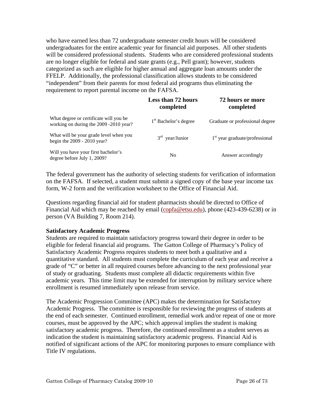who have earned less than 72 undergraduate semester credit hours will be considered undergraduates for the entire academic year for financial aid purposes. All other students will be considered professional students. Students who are considered professional students are no longer eligible for federal and state grants (e.g., Pell grant); however, students categorized as such are eligible for higher annual and aggregate loan amounts under the FFELP. Additionally, the professional classification allows students to be considered "independent" from their parents for most federal aid programs thus eliminating the requirement to report parental income on the FAFSA.

|                                                                                  | <b>Less than 72 hours</b><br>completed | 72 hours or more<br>completed    |
|----------------------------------------------------------------------------------|----------------------------------------|----------------------------------|
| What degree or certificate will you be<br>working on during the 2009 -2010 year? | 1 <sup>st</sup> Bachelor's degree      | Graduate or professional degree  |
| What will be your grade level when you<br>begin the $2009 - 2010$ year?          | $3rd$ year/Junior                      | $1st$ year graduate/professional |
| Will you have your first bachelor's<br>degree before July 1, 2009?               | N <sub>0</sub>                         | Answer accordingly               |

The federal government has the authority of selecting students for verification of information on the FAFSA. If selected, a student must submit a signed copy of the base year income tax form, W-2 form and the verification worksheet to the Office of Financial Aid.

Questions regarding financial aid for student pharmacists should be directed to Office of Financial Aid which may be reached by email (copfa@etsu.edu), phone (423-439-6238) or in person (VA Building 7, Room 214).

#### **Satisfactory Academic Progress**

Students are required to maintain satisfactory progress toward their degree in order to be eligible for federal financial aid programs. The Gatton College of Pharmacy's Policy of Satisfactory Academic Progress requires students to meet both a qualitative and a quantitative standard. All students must complete the curriculum of each year and receive a grade of "C" or better in all required courses before advancing to the next professional year of study or graduating. Students must complete all didactic requirements within five academic years. This time limit may be extended for interruption by military service where enrollment is resumed immediately upon release from service.

The Academic Progression Committee (APC) makes the determination for Satisfactory Academic Progress. The committee is responsible for reviewing the progress of students at the end of each semester. Continued enrollment, remedial work and/or repeat of one or more courses, must be approved by the APC; which approval implies the student is making satisfactory academic progress. Therefore, the continued enrollment as a student serves as indication the student is maintaining satisfactory academic progress. Financial Aid is notified of significant actions of the APC for monitoring purposes to ensure compliance with Title IV regulations.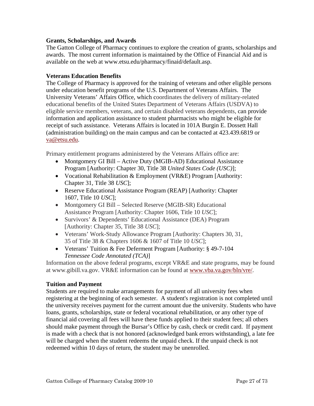#### **Grants, Scholarships, and Awards**

The Gatton College of Pharmacy continues to explore the creation of grants, scholarships and awards. The most current information is maintained by the Office of Financial Aid and is available on the web at www.etsu.edu/pharmacy/finaid/default.asp.

#### **Veterans Education Benefits**

The College of Pharmacy is approved for the training of veterans and other eligible persons under education benefit programs of the U.S. Department of Veterans Affairs. The University Veterans' Affairs Office, which coordinates the delivery of military-related educational benefits of the United States Department of Veterans Affairs (USDVA) to eligible service members, veterans, and certain disabled veterans dependents, can provide information and application assistance to student pharmacists who might be eligible for receipt of such assistance. Veterans Affairs is located in 101A Burgin E. Dossett Hall (administration building) on the main campus and can be contacted at 423.439.6819 or va@etsu.edu.

Primary entitlement programs administered by the Veterans Affairs office are:

- Montgomery GI Bill Active Duty (MGIB-AD) Educational Assistance Program [Authority: Chapter 30, Title 38 *United States Code (USC)*];
- Vocational Rehabilitation & Employment (VR&E) Program [Authority: Chapter 31, Title 38 *USC*];
- Reserve Educational Assistance Program (REAP) [Authority: Chapter 1607, Title 10 *USC*];
- Montgomery GI Bill Selected Reserve (MGIB-SR) Educational Assistance Program [Authority: Chapter 1606, Title 10 *USC*];
- Survivors' & Dependents' Educational Assistance (DEA) Program [Authority: Chapter 35, Title 38 *USC*];
- Veterans' Work-Study Allowance Program [Authority: Chapters 30, 31, 35 of Title 38 & Chapters 1606 & 1607 of Title 10 *USC*];
- Veterans' Tuition & Fee Deferment Program [Authority: § 49-7-104] *Tennessee Code Annotated (TCA)*]

Information on the above federal programs, except VR&E and state programs, may be found at www.gibill.va.gov. VR&E information can be found at www.vba.va.gov/bln/vre/.

# **Tuition and Payment**

Students are required to make arrangements for payment of all university fees when registering at the beginning of each semester. A student's registration is not completed until the university receives payment for the current amount due the university. Students who have loans, grants, scholarships, state or federal vocational rehabilitation, or any other type of financial aid covering all fees will have these funds applied to their student fees; all others should make payment through the Bursar's Office by cash, check or credit card. If payment is made with a check that is not honored (acknowledged bank errors withstanding), a late fee will be charged when the student redeems the unpaid check. If the unpaid check is not redeemed within 10 days of return, the student may be unenrolled.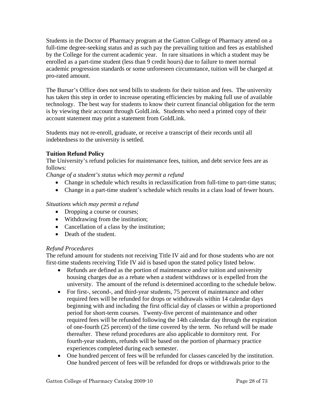Students in the Doctor of Pharmacy program at the Gatton College of Pharmacy attend on a full-time degree-seeking status and as such pay the prevailing tuition and fees as established by the College for the current academic year. In rare situations in which a student may be enrolled as a part-time student (less than 9 credit hours) due to failure to meet normal academic progression standards or some unforeseen circumstance, tuition will be charged at pro-rated amount.

The Bursar's Office does not send bills to students for their tuition and fees. The university has taken this step in order to increase operating efficiencies by making full use of available technology. The best way for students to know their current financial obligation for the term is by viewing their account through GoldLink. Students who need a printed copy of their account statement may print a statement from GoldLink.

Students may not re-enroll, graduate, or receive a transcript of their records until all indebtedness to the university is settled.

# **Tuition Refund Policy**

The University's refund policies for maintenance fees, tuition, and debt service fees are as follows:

*Change of a student's status which may permit a refund* 

- Change in schedule which results in reclassification from full-time to part-time status;
- Change in a part-time student's schedule which results in a class load of fewer hours.

# *Situations which may permit a refund*

- Dropping a course or courses;
- Withdrawing from the institution;
- Cancellation of a class by the institution;
- Death of the student.

# *Refund Procedures*

The refund amount for students not receiving Title IV aid and for those students who are not first-time students receiving Title IV aid is based upon the stated policy listed below.

- Refunds are defined as the portion of maintenance and/or tuition and university housing charges due as a rebate when a student withdraws or is expelled from the university. The amount of the refund is determined according to the schedule below.
- For first-, second-, and third-year students, 75 percent of maintenance and other required fees will be refunded for drops or withdrawals within 14 calendar days beginning with and including the first official day of classes or within a proportioned period for short-term courses. Twenty-five percent of maintenance and other required fees will be refunded following the 14th calendar day through the expiration of one-fourth (25 percent) of the time covered by the term. No refund will be made thereafter. These refund procedures are also applicable to dormitory rent. For fourth-year students, refunds will be based on the portion of pharmacy practice experiences completed during each semester.
- One hundred percent of fees will be refunded for classes canceled by the institution. One hundred percent of fees will be refunded for drops or withdrawals prior to the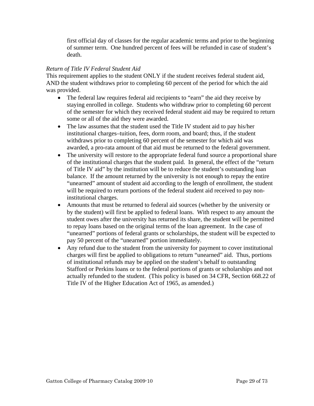first official day of classes for the regular academic terms and prior to the beginning of summer term. One hundred percent of fees will be refunded in case of student's death.

## *Return of Title IV Federal Student Aid*

This requirement applies to the student ONLY if the student receives federal student aid, AND the student withdraws prior to completing 60 percent of the period for which the aid was provided.

- The federal law requires federal aid recipients to "earn" the aid they receive by staying enrolled in college. Students who withdraw prior to completing 60 percent of the semester for which they received federal student aid may be required to return some or all of the aid they were awarded.
- The law assumes that the student used the Title IV student aid to pay his/her institutional charges–tuition, fees, dorm room, and board; thus, if the student withdraws prior to completing 60 percent of the semester for which aid was awarded, a pro-rata amount of that aid must be returned to the federal government.
- The university will restore to the appropriate federal fund source a proportional share of the institutional charges that the student paid. In general, the effect of the "return of Title IV aid" by the institution will be to reduce the student's outstanding loan balance. If the amount returned by the university is not enough to repay the entire "unearned" amount of student aid according to the length of enrollment, the student will be required to return portions of the federal student aid received to pay noninstitutional charges.
- Amounts that must be returned to federal aid sources (whether by the university or by the student) will first be applied to federal loans. With respect to any amount the student owes after the university has returned its share, the student will be permitted to repay loans based on the original terms of the loan agreement. In the case of "unearned" portions of federal grants or scholarships, the student will be expected to pay 50 percent of the "unearned" portion immediately.
- Any refund due to the student from the university for payment to cover institutional charges will first be applied to obligations to return "unearned" aid. Thus, portions of institutional refunds may be applied on the student's behalf to outstanding Stafford or Perkins loans or to the federal portions of grants or scholarships and not actually refunded to the student. (This policy is based on 34 CFR, Section 668.22 of Title IV of the Higher Education Act of 1965, as amended.)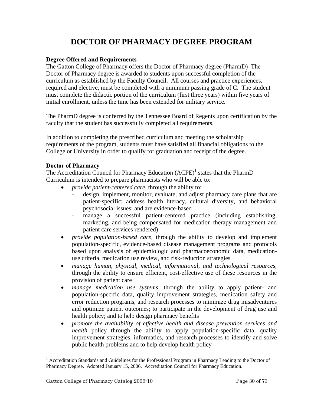# **DOCTOR OF PHARMACY DEGREE PROGRAM**

#### **Degree Offered and Requirements**

The Gatton College of Pharmacy offers the Doctor of Pharmacy degree (PharmD) The Doctor of Pharmacy degree is awarded to students upon successful completion of the curriculum as established by the Faculty Council. All courses and practice experiences, required and elective, must be completed with a minimum passing grade of C. The student must complete the didactic portion of the curriculum (first three years) within five years of initial enrollment, unless the time has been extended for military service.

The PharmD degree is conferred by the Tennessee Board of Regents upon certification by the faculty that the student has successfully completed all requirements.

In addition to completing the prescribed curriculum and meeting the scholarship requirements of the program, students must have satisfied all financial obligations to the College or University in order to qualify for graduation and receipt of the degree.

#### **Doctor of Pharmacy**

The Accreditation Council for Pharmacy Education  $(ACPE)^{1}$  states that the PharmD Curriculum is intended to prepare pharmacists who will be able to:

- *provide patient-centered care*, through the ability to:
	- design, implement, monitor, evaluate, and adjust pharmacy care plans that are patient-specific; address health literacy, cultural diversity, and behavioral psychosocial issues; and are evidence-based
	- manage a successful patient-centered practice (including establishing, marketing, and being compensated for medication therapy management and patient care services rendered)
- *provide population-based care,* through the ability to develop and implement population-specific, evidence-based disease management programs and protocols based upon analysis of epidemiologic and pharmacoeconomic data, medicationuse criteria, medication use review, and risk-reduction strategies
- *manage human, physical, medical, informational, and technological resources,*  through the ability to ensure efficient, cost-effective use of these resources in the provision of patient care
- *manage medication use systems,* through the ability to apply patient- and population-specific data, quality improvement strategies, medication safety and error reduction programs, and research processes to minimize drug misadventures and optimize patient outcomes; to participate in the development of drug use and health policy; and to help design pharmacy benefits
- *promote the availability of effective health and disease prevention services and health* policy through the ability to apply population-specific data, quality improvement strategies, informatics, and research processes to identify and solve public health problems and to help develop health policy

l

<sup>&</sup>lt;sup>1</sup> Accreditation Standards and Guidelines for the Professional Program in Pharmacy Leading to the Doctor of Pharmacy Degree. Adopted January 15, 2006. Accreditation Council for Pharmacy Education.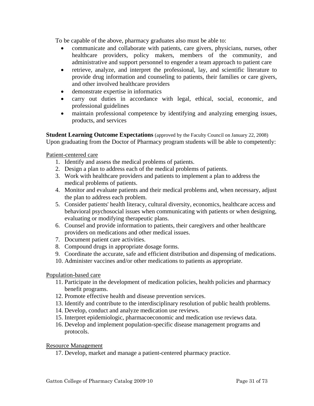To be capable of the above, pharmacy graduates also must be able to:

- communicate and collaborate with patients, care givers, physicians, nurses, other healthcare providers, policy makers, members of the community, and administrative and support personnel to engender a team approach to patient care
- retrieve, analyze, and interpret the professional, lay, and scientific literature to provide drug information and counseling to patients, their families or care givers, and other involved healthcare providers
- demonstrate expertise in informatics
- carry out duties in accordance with legal, ethical, social, economic, and professional guidelines
- maintain professional competence by identifying and analyzing emerging issues, products, and services

**Student Learning Outcome Expectations** (approved by the Faculty Council on January 22, 2008) Upon graduating from the Doctor of Pharmacy program students will be able to competently:

Patient-centered care

- 1. Identify and assess the medical problems of patients.
- 2. Design a plan to address each of the medical problems of patients.
- 3. Work with healthcare providers and patients to implement a plan to address the medical problems of patients.
- 4. Monitor and evaluate patients and their medical problems and, when necessary, adjust the plan to address each problem.
- 5. Consider patients' health literacy, cultural diversity, economics, healthcare access and behavioral psychosocial issues when communicating with patients or when designing, evaluating or modifying therapeutic plans.
- 6. Counsel and provide information to patients, their caregivers and other healthcare providers on medications and other medical issues.
- 7. Document patient care activities.
- 8. Compound drugs in appropriate dosage forms.
- 9. Coordinate the accurate, safe and efficient distribution and dispensing of medications.
- 10. Administer vaccines and/or other medications to patients as appropriate.

#### Population-based care

- 11. Participate in the development of medication policies, health policies and pharmacy benefit programs.
- 12. Promote effective health and disease prevention services.
- 13. Identify and contribute to the interdisciplinary resolution of public health problems.
- 14. Develop, conduct and analyze medication use reviews.
- 15. Interpret epidemiologic, pharmacoeconomic and medication use reviews data.
- 16. Develop and implement population-specific disease management programs and protocols.

Resource Management

17. Develop, market and manage a patient-centered pharmacy practice.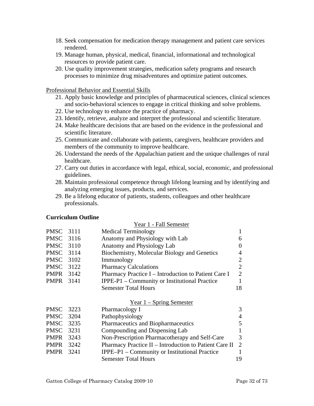- 18. Seek compensation for medication therapy management and patient care services rendered.
- 19. Manage human, physical, medical, financial, informational and technological resources to provide patient care.
- 20. Use quality improvement strategies, medication safety programs and research processes to minimize drug misadventures and optimize patient outcomes.

Professional Behavior and Essential Skills

- 21. Apply basic knowledge and principles of pharmaceutical sciences, clinical sciences and socio-behavioral sciences to engage in critical thinking and solve problems.
- 22. Use technology to enhance the practice of pharmacy.
- 23. Identify, retrieve, analyze and interpret the professional and scientific literature.
- 24. Make healthcare decisions that are based on the evidence in the professional and scientific literature.
- 25. Communicate and collaborate with patients, caregivers, healthcare providers and members of the community to improve healthcare.
- 26. Understand the needs of the Appalachian patient and the unique challenges of rural healthcare.
- 27. Carry out duties in accordance with legal, ethical, social, economic, and professional guidelines.
- 28. Maintain professional competence through lifelong learning and by identifying and analyzing emerging issues, products, and services.
- 29. Be a lifelong educator of patients, students, colleagues and other healthcare professionals.

#### **Curriculum Outline**

|                  |      | Year 1 - Fall Semester                                 |                |
|------------------|------|--------------------------------------------------------|----------------|
| <b>PMSC</b>      | 3111 | <b>Medical Terminology</b>                             |                |
| PMSC 3116        |      | Anatomy and Physiology with Lab                        | 6              |
| <b>PMSC</b> 3110 |      | Anatomy and Physiology Lab                             | 0              |
| PMSC 3114        |      | Biochemistry, Molecular Biology and Genetics           | 4              |
| PMSC             | 3102 | Immunology                                             | $\overline{2}$ |
| PMSC             | 3122 | <b>Pharmacy Calculations</b>                           | $\overline{2}$ |
| <b>PMPR</b> 3142 |      | Pharmacy Practice I - Introduction to Patient Care I   | $\overline{2}$ |
| <b>PMPR</b>      | 3141 | IPPE-P1 – Community or Institutional Practice          | 1              |
|                  |      | <b>Semester Total Hours</b>                            | 18             |
|                  |      | $Year 1 - Spring Semester$                             |                |
| <b>PMSC</b>      | 3223 | Pharmacology I                                         | 3              |
| PMSC             | 3204 | Pathophysiology                                        | 4              |
| PMSC             | 3235 | Pharmaceutics and Biopharmaceutics                     | 5              |
| <b>PMSC</b>      | 3231 | Compounding and Dispensing Lab                         |                |
| <b>PMPR</b>      | 3243 | Non-Prescription Pharmacotherapy and Self-Care         | 3              |
| <b>PMPR</b>      | 3242 | Pharmacy Practice II - Introduction to Patient Care II | 2              |
| <b>PMPR</b>      | 3241 | IPPE-P1 – Community or Institutional Practice          |                |
|                  |      | <b>Semester Total Hours</b>                            | 19             |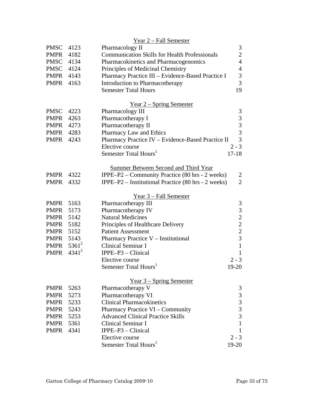|                  |          | Year 2 - Fall Semester                               |                |
|------------------|----------|------------------------------------------------------|----------------|
| <b>PMSC</b>      | 4123     | Pharmacology II                                      | 3              |
| <b>PMPR</b>      | 4182     | <b>Communication Skills for Health Professionals</b> | $\overline{2}$ |
| PMSC 4134        |          | Pharmacokinetics and Pharmacogenomics                | $\overline{4}$ |
| PMSC 4124        |          | Principles of Medicinal Chemistry                    | $\overline{4}$ |
| PMPR             | 4143     | Pharmacy Practice III - Evidence-Based Practice I    | 3              |
| <b>PMPR</b>      | 4163     | <b>Introduction to Pharmacotherapy</b>               | $\overline{3}$ |
|                  |          | <b>Semester Total Hours</b>                          | 19             |
|                  |          |                                                      |                |
|                  |          | <u>Year 2 – Spring Semester</u>                      |                |
| <b>PMSC</b>      | 4223     | Pharmacology III                                     | 3              |
| <b>PMPR</b>      | 4263     | Pharmacotherapy I                                    | 3              |
| <b>PMPR</b>      | 4273     | Pharmacotherapy II                                   | 3              |
| <b>PMPR</b> 4283 |          | Pharmacy Law and Ethics                              | 3              |
| PMPR             | 4243     | Pharmacy Practice IV - Evidence-Based Practice II    | 3              |
|                  |          | Elective course                                      | $2 - 3$        |
|                  |          | Semester Total Hours <sup>1</sup>                    | $17 - 18$      |
|                  |          | <b>Summer Between Second and Third Year</b>          |                |
| <b>PMPR</b>      | 4322     | IPPE-P2 – Community Practice (80 hrs - 2 weeks)      | 2              |
| <b>PMPR</b>      | 4332     | IPPE-P2 – Institutional Practice (80 hrs - 2 weeks)  | $\overline{2}$ |
|                  |          |                                                      |                |
|                  |          | <u>Year 3 – Fall Semester</u>                        |                |
| <b>PMPR</b>      | 5163     | Pharmacotherapy III                                  | 3              |
| <b>PMPR</b>      | 5173     | Pharmacotherapy IV                                   | $\overline{3}$ |
| <b>PMPR</b>      | 5142     | <b>Natural Medicines</b>                             | $\overline{c}$ |
| <b>PMPR</b>      | 5182     | Principles of Healthcare Delivery                    | $\overline{c}$ |
| <b>PMPR</b>      | 5152     | <b>Patient Assessment</b>                            | $\overline{c}$ |
| PMPR 5143        |          | Pharmacy Practice V - Institutional                  | $\overline{3}$ |
| <b>PMPR</b>      | $5361^2$ | Clinical Seminar I                                   | $\mathbf{1}$   |
| <b>PMPR</b>      | $4341^2$ | IPPE-P3 - Clinical                                   | $\mathbf{1}$   |
|                  |          | Elective course                                      | $2 - 3$        |
|                  |          | Semester Total Hours <sup>1</sup>                    | 19-20          |
|                  |          | Year $3$ – Spring Semester                           |                |
| <b>PMPR</b>      | 5263     | Pharmacotherapy V                                    | 3              |
| <b>PMPR</b>      | 5273     | Pharmacotherapy VI                                   | 3              |
| <b>PMPR</b>      | 5233     | <b>Clinical Pharmacokinetics</b>                     | 3              |
| <b>PMPR</b>      | 5243     | Pharmacy Practice VI – Community                     | 3              |
| <b>PMPR</b>      | 5253     | <b>Advanced Clinical Practice Skills</b>             | 3              |
| <b>PMPR</b>      | 5361     | Clinical Seminar I                                   | $\mathbf{1}$   |
| <b>PMPR</b>      | 4341     | $IPPE-P3 - Clinical$                                 | 1              |
|                  |          | Elective course                                      | $2 - 3$        |
|                  |          | Semester Total Hours <sup>1</sup>                    | 19-20          |
|                  |          |                                                      |                |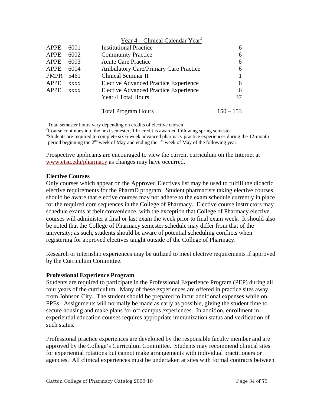|             |             | Year $4$ – Clinical Calendar Year <sup>3</sup> |             |
|-------------|-------------|------------------------------------------------|-------------|
| <b>APPE</b> | 6001        | <b>Institutional Practice</b>                  | 6           |
| <b>APPE</b> | 6002        | <b>Community Practice</b>                      | 6           |
| <b>APPE</b> | 6003        | <b>Acute Care Practice</b>                     | 6           |
| <b>APPE</b> | 6004        | <b>Ambulatory Care/Primary Care Practice</b>   | 6           |
| <b>PMPR</b> | 5461        | Clinical Seminar II                            |             |
| <b>APPE</b> | <b>XXXX</b> | <b>Elective Advanced Practice Experience</b>   | 6           |
| <b>APPE</b> | <b>XXXX</b> | <b>Elective Advanced Practice Experience</b>   | 6           |
|             |             | Year 4 Total Hours                             | 37          |
|             |             | <b>Total Program Hours</b>                     | $150 - 153$ |

<sup>1</sup>Total semester hours vary depending on credits of elective chosen

<sup>2</sup>Course continues into the next semester; 1 hr credit is awarded following spring semester <sup>3</sup>Students are required to complete six 6-week advanced pharmacy practice experiences during the 12-month period beginning the  $2^{nd}$  week of May and ending the  $1^{st}$  week of May of the following year.

Prospective applicants are encouraged to view the current curriculum on the Internet at www.etsu.edu/pharmacy as changes may have occurred.

#### **Elective Courses**

Only courses which appear on the Approved Electives list may be used to fulfill the didactic elective requirements for the PharmD program. Student pharmacists taking elective courses should be aware that elective courses may not adhere to the exam schedule currently in place for the required core sequences in the College of Pharmacy. Elective course instructors may schedule exams at their convenience, with the exception that College of Pharmacy elective courses will administer a final or last exam the week prior to final exam week. It should also be noted that the College of Pharmacy semester schedule may differ from that of the university; as such, students should be aware of potential scheduling conflicts when registering for approved electives taught outside of the College of Pharmacy.

Research or internship experiences may be utilized to meet elective requirements if approved by the Curriculum Committee.

# **Professional Experience Program**

Students are required to participate in the Professional Experience Program (PEP) during all four years of the curriculum. Many of these experiences are offered in practice sites away from Johnson City. The student should be prepared to incur additional expenses while on PPEs. Assignments will normally be made as early as possible, giving the student time to secure housing and make plans for off-campus experiences. In addition, enrollment in experiential education courses requires appropriate immunization status and verification of such status.

Professional practice experiences are developed by the responsible faculty member and are approved by the College's Curriculum Committee. Students may recommend clinical sites for experiential rotations but cannot make arrangements with individual practitioners or agencies. All clinical experiences must be undertaken at sites with formal contracts between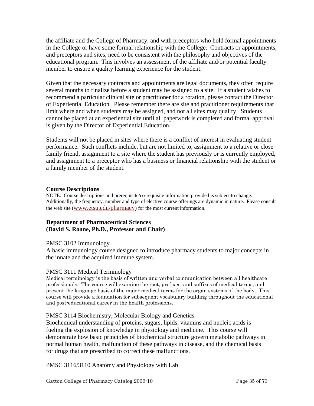the affiliate and the College of Pharmacy, and with preceptors who hold formal appointments in the College or have some formal relationship with the College. Contracts or appointments, and preceptors and sites, need to be consistent with the philosophy and objectives of the educational program. This involves an assessment of the affiliate and/or potential faculty member to ensure a quality learning experience for the student.

Given that the necessary contracts and appointments are legal documents, they often require several months to finalize before a student may be assigned to a site. If a student wishes to recommend a particular clinical site or practitioner for a rotation, please contact the Director of Experiential Education. Please remember there are site and practitioner requirements that limit where and when students may be assigned, and not all sites may qualify. Students cannot be placed at an experiential site until all paperwork is completed and formal approval is given by the Director of Experiential Education.

Students will not be placed in sites where there is a conflict of interest in evaluating student performance. Such conflicts include, but are not limited to, assignment to a relative or close family friend, assignment to a site where the student has previously or is currently employed, and assignment to a preceptor who has a business or financial relationship with the student or a family member of the student.

#### **Course Descriptions**

NOTE: Course descriptions and prerequisite/co-requisite information provided is subject to change. Additionally, the frequency, number and type of elective course offerings are dynamic in nature. Please consult the web site (www.etsu.edu/pharmacy) for the most current information.

#### **Department of Pharmaceutical Sciences (David S. Roane, Ph.D., Professor and Chair)**

#### PMSC 3102 Immunology

A basic immunology course designed to introduce pharmacy students to major concepts in the innate and the acquired immune system.

#### PMSC 3111 Medical Terminology

Medical terminology is the basis of written and verbal communication between all healthcare professionals. The course will examine the root, prefixes, and suffixes of medical terms, and present the language basis of the major medical terms for the organ systems of the body. This course will provide a foundation for subsequent vocabulary building throughout the educational and post-educational career in the health professions.

#### PMSC 3114 Biochemistry, Molecular Biology and Genetics

Biochemical understanding of proteins, sugars, lipids, vitamins and nucleic acids is fueling the explosion of knowledge in physiology and medicine. This course will demonstrate how basic principles of biochemical structure govern metabolic pathways in normal human health, malfunction of these pathways in disease, and the chemical basis for drugs that are prescribed to correct these malfunctions.

PMSC 3116/3110 Anatomy and Physiology with Lab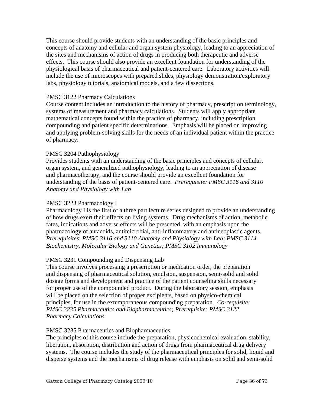This course should provide students with an understanding of the basic principles and concepts of anatomy and cellular and organ system physiology, leading to an appreciation of the sites and mechanisms of action of drugs in producing both therapeutic and adverse effects. This course should also provide an excellent foundation for understanding of the physiological basis of pharmaceutical and patient-centered care. Laboratory activities will include the use of microscopes with prepared slides, physiology demonstration/exploratory labs, physiology tutorials, anatomical models, and a few dissections.

#### PMSC 3122 Pharmacy Calculations

Course content includes an introduction to the history of pharmacy, prescription terminology, systems of measurement and pharmacy calculations. Students will apply appropriate mathematical concepts found within the practice of pharmacy, including prescription compounding and patient specific determinations. Emphasis will be placed on improving and applying problem-solving skills for the needs of an individual patient within the practice of pharmacy.

#### PMSC 3204 Pathophysiology

Provides students with an understanding of the basic principles and concepts of cellular, organ system, and generalized pathophysiology, leading to an appreciation of disease and pharmacotherapy, and the course should provide an excellent foundation for understanding of the basis of patient-centered care. *Prerequisite: PMSC 3116 and 3110 Anatomy and Physiology with Lab* 

#### PMSC 3223 Pharmacology I

Pharmacology I is the first of a three part lecture series designed to provide an understanding of how drugs exert their effects on living systems. Drug mechanisms of action, metabolic fates, indications and adverse effects will be presented, with an emphasis upon the pharmacology of autacoids, antimicrobial, anti-inflammatory and antineoplastic agents. *Prerequisites*: *PMSC 3116 and 3110 Anatomy and Physiology with Lab; PMSC 3114 Biochemistry, Molecular Biology and Genetics; PMSC 3102 Immunology* 

#### PMSC 3231 Compounding and Dispensing Lab

This course involves processing a prescription or medication order, the preparation and dispensing of pharmaceutical solution, emulsion, suspension, semi-solid and solid dosage forms and development and practice of the patient counseling skills necessary for proper use of the compounded product. During the laboratory session, emphasis will be placed on the selection of proper excipients, based on physico-chemical principles, for use in the extemporaneous compounding preparation*. Co-requisite: PMSC 3235 Pharmaceutics and Biopharmaceutics; Prerequisite: PMSC 3122 Pharmacy Calculations* 

#### PMSC 3235 Pharmaceutics and Biopharmaceutics

The principles of this course include the preparation, physicochemical evaluation, stability, liberation, absorption, distribution and action of drugs from pharmaceutical drug delivery systems. The course includes the study of the pharmaceutical principles for solid, liquid and disperse systems and the mechanisms of drug release with emphasis on solid and semi-solid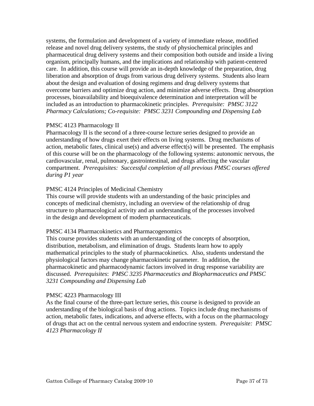systems, the formulation and development of a variety of immediate release, modified release and novel drug delivery systems, the study of physiochemical principles and pharmaceutical drug delivery systems and their composition both outside and inside a living organism, principally humans, and the implications and relationship with patient-centered care. In addition, this course will provide an in-depth knowledge of the preparation, drug liberation and absorption of drugs from various drug delivery systems. Students also learn about the design and evaluation of dosing regimens and drug delivery systems that overcome barriers and optimize drug action, and minimize adverse effects. Drug absorption processes, bioavailability and bioequivalence determination and interpretation will be included as an introduction to pharmacokinetic principles. *Prerequisite: PMSC 3122 Pharmacy Calculations; Co-requisite: PMSC 3231 Compounding and Dispensing Lab* 

#### PMSC 4123 Pharmacology II

Pharmacology II is the second of a three-course lecture series designed to provide an understanding of how drugs exert their effects on living systems. Drug mechanisms of action, metabolic fates, clinical use(s) and adverse effect(s) will be presented. The emphasis of this course will be on the pharmacology of the following systems: autonomic nervous, the cardiovascular, renal, pulmonary, gastrointestinal, and drugs affecting the vascular compartment. *Prerequisites: Successful completion of all previous PMSC courses offered during P1 year* 

#### PMSC 4124 Principles of Medicinal Chemistry

This course will provide students with an understanding of the basic principles and concepts of medicinal chemistry, including an overview of the relationship of drug structure to pharmacological activity and an understanding of the processes involved in the design and development of modern pharmaceuticals.

#### PMSC 4134 Pharmacokinetics and Pharmacogenomics

This course provides students with an understanding of the concepts of absorption, distribution, metabolism, and elimination of drugs. Students learn how to apply mathematical principles to the study of pharmacokinetics. Also, students understand the physiological factors may change pharmacokinetic parameter. In addition, the pharmacokinetic and pharmacodynamic factors involved in drug response variability are discussed. *Prerequisites*: *PMSC 3235 Pharmaceutics and Biopharmaceutics and PMSC 3231 Compounding and Dispensing Lab* 

#### PMSC 4223 Pharmacology III

As the final course of the three-part lecture series, this course is designed to provide an understanding of the biological basis of drug actions. Topics include drug mechanisms of action, metabolic fates, indications, and adverse effects, with a focus on the pharmacology of drugs that act on the central nervous system and endocrine system. *Prerequisite: PMSC 4123 Pharmacology II*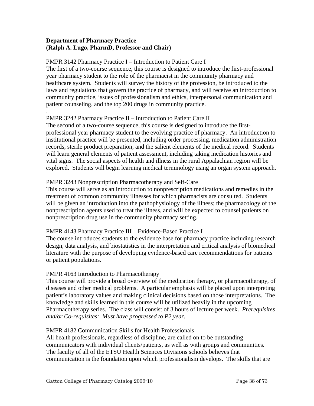## **Department of Pharmacy Practice (Ralph A. Lugo, PharmD, Professor and Chair)**

#### PMPR 3142 Pharmacy Practice I – Introduction to Patient Care I

The first of a two-course sequence, this course is designed to introduce the first-professional year pharmacy student to the role of the pharmacist in the community pharmacy and healthcare system. Students will survey the history of the profession, be introduced to the laws and regulations that govern the practice of pharmacy, and will receive an introduction to community practice, issues of professionalism and ethics, interpersonal communication and patient counseling, and the top 200 drugs in community practice.

#### . PMPR 3242 Pharmacy Practice II – Introduction to Patient Care II

The second of a two-course sequence, this course is designed to introduce the firstprofessional year pharmacy student to the evolving practice of pharmacy. An introduction to institutional practice will be presented, including order processing, medication administration records, sterile product preparation, and the salient elements of the medical record. Students will learn general elements of patient assessment, including taking medication histories and vital signs. The social aspects of health and illness in the rural Appalachian region will be explored. Students will begin learning medical terminology using an organ system approach.

# PMPR 3243 Nonprescription Pharmacotherapy and Self-Care

This course will serve as an introduction to nonprescription medications and remedies in the treatment of common community illnesses for which pharmacists are consulted. Students will be given an introduction into the pathophysiology of the illness; the pharmacology of the nonprescription agents used to treat the illness, and will be expected to counsel patients on nonprescription drug use in the community pharmacy setting.

# PMPR 4143 Pharmacy Practice III – Evidence-Based Practice I

The course introduces students to the evidence base for pharmacy practice including research design, data analysis, and biostatistics in the interpretation and critical analysis of biomedical literature with the purpose of developing evidence-based care recommendations for patients or patient populations.

# PMPR 4163 Introduction to Pharmacotherapy

This course will provide a broad overview of the medication therapy, or pharmacotherapy, of diseases and other medical problems. A particular emphasis will be placed upon interpreting patient's laboratory values and making clinical decisions based on those interpretations. The knowledge and skills learned in this course will be utilized heavily in the upcoming Pharmacotherapy series. The class will consist of 3 hours of lecture per week. *Prerequisites and/or Co-requisites: Must have progressed to P2 year.* 

#### PMPR 4182 Communication Skills for Health Professionals

All health professionals, regardless of discipline, are called on to be outstanding communicators with individual clients/patients, as well as with groups and communities. The faculty of all of the ETSU Health Sciences Divisions schools believes that communication is the foundation upon which professionalism develops. The skills that are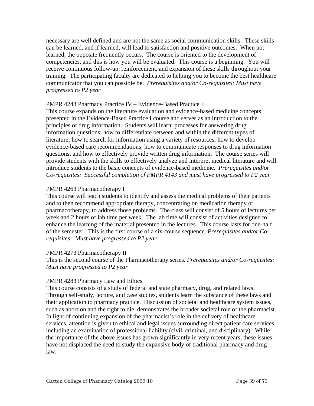necessary are well defined and are not the same as social communication skills. These skills can be learned, and if learned, will lead to satisfaction and positive outcomes. When not learned, the opposite frequently occurs. The course is oriented to the development of competencies, and this is how you will be evaluated. This course is a beginning. You will receive continuous follow-up, reinforcement, and expansion of these skills throughout your training. The participating faculty are dedicated to helping you to become the best healthcare communicator that you can possible be. *Prerequisites and/or Co-requisites: Must have progressed to P2 year* 

## PMPR 4243 Pharmacy Practice IV – Evidence-Based Practice II

This course expands on the literature evaluation and evidence-based medicine concepts presented in the Evidence-Based Practice I course and serves as an introduction to the principles of drug information. Students will learn: processes for answering drug information questions; how to differentiate between and within the different types of literature; how to search for information using a variety of resources; how to develop evidence-based care recommendations; how to communicate responses to drug information questions; and how to effectively provide written drug information. The course series will provide students with the skills to effectively analyze and interpret medical literature and will introduce students to the basic concepts of evidence-based medicine. *Prerequisites and/or Co-requisites: Successful completion of PMPR 4143 and must have progressed to P2 year* 

## PMPR 4263 Pharmacotherapy I

This course will teach students to identify and assess the medical problems of their patients and to then recommend appropriate therapy, concentrating on medication therapy or pharmacotherapy, to address those problems. The class will consist of 5 hours of lectures per week and 2 hours of lab time per week. The lab time will consist of activities designed to enhance the learning of the material presented in the lectures. This course lasts for one-half of the semester. This is the first course of a six-course sequence. *Prerequisites and/or Corequisites: Must have progressed to P2 year* 

#### PMPR 4273 Pharmacotherapy II

This is the second course of the Pharmacotherapy series. *Prerequisites and/or Co-requisites: Must have progressed to P2 year* 

# PMPR 4283 Pharmacy Law and Ethics

This course consists of a study of federal and state pharmacy, drug, and related laws. Through self-study, lecture, and case studies, students learn the substance of these laws and their application to pharmacy practice. Discussion of societal and healthcare system issues, such as abortion and the right to die, demonstrates the broader societal role of the pharmacist. In light of continuing expansion of the pharmacist's role in the delivery of healthcare services, attention is given to ethical and legal issues surrounding direct patient care services, including an examination of professional liability (civil, criminal, and disciplinary). While the importance of the above issues has grown significantly in very recent years, these issues have not displaced the need to study the expansive body of traditional pharmacy and drug law.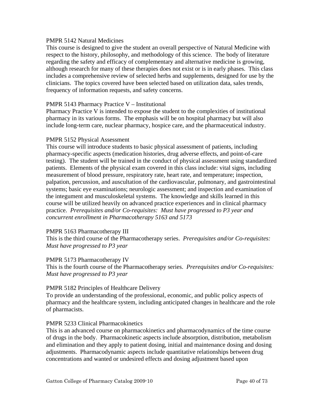#### PMPR 5142 Natural Medicines

This course is designed to give the student an overall perspective of Natural Medicine with respect to the history, philosophy, and methodology of this science. The body of literature regarding the safety and efficacy of complementary and alternative medicine is growing, although research for many of these therapies does not exist or is in early phases. This class includes a comprehensive review of selected herbs and supplements, designed for use by the clinicians. The topics covered have been selected based on utilization data, sales trends, frequency of information requests, and safety concerns.

#### PMPR 5143 Pharmacy Practice V – Institutional

Pharmacy Practice V is intended to expose the student to the complexities of institutional pharmacy in its various forms. The emphasis will be on hospital pharmacy but will also include long-term care, nuclear pharmacy, hospice care, and the pharmaceutical industry.

#### PMPR 5152 Physical Assessment

This course will introduce students to basic physical assessment of patients, including pharmacy-specific aspects (medication histories, drug adverse effects, and point-of-care testing). The student will be trained in the conduct of physical assessment using standardized patients. Elements of the physical exam covered in this class include: vital signs, including measurement of blood pressure, respiratory rate, heart rate, and temperature; inspection, palpation, percussion, and auscultation of the cardiovascular, pulmonary, and gastrointestinal systems; basic eye examinations; neurologic assessment; and inspection and examination of the integument and musculoskeletal systems. The knowledge and skills learned in this course will be utilized heavily on advanced practice experiences and in clinical pharmacy practice. *Prerequisites and/or Co-requisites: Must have progressed to P3 year and concurrent enrollment in Pharmacotherapy 5163 and 5173* 

#### PMPR 5163 Pharmacotherapy III

This is the third course of the Pharmacotherapy series. *Prerequisites and/or Co-requisites: Must have progressed to P3 year* 

#### PMPR 5173 Pharmacotherapy IV

This is the fourth course of the Pharmacotherapy series. *Prerequisites and/or Co-requisites: Must have progressed to P3 year* 

#### PMPR 5182 Principles of Healthcare Delivery

To provide an understanding of the professional, economic, and public policy aspects of pharmacy and the healthcare system, including anticipated changes in healthcare and the role of pharmacists.

#### PMPR 5233 Clinical Pharmacokinetics

This is an advanced course on pharmacokinetics and pharmacodynamics of the time course of drugs in the body. Pharmacokinetic aspects include absorption, distribution, metabolism and elimination and they apply to patient dosing, initial and maintenance dosing and dosing adjustments. Pharmacodynamic aspects include quantitative relationships between drug concentrations and wanted or undesired effects and dosing adjustment based upon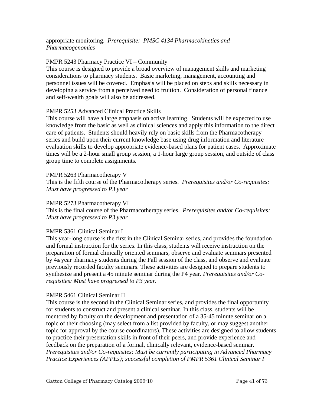## appropriate monitoring. *Prerequisite: PMSC 4134 Pharmacokinetics and Pharmacogenomics*

#### PMPR 5243 Pharmacy Practice VI – Community

This course is designed to provide a broad overview of management skills and marketing considerations to pharmacy students. Basic marketing, management, accounting and personnel issues will be covered. Emphasis will be placed on steps and skills necessary in developing a service from a perceived need to fruition. Consideration of personal finance and self-wealth goals will also be addressed.

#### PMPR 5253 Advanced Clinical Practice Skills

This course will have a large emphasis on active learning. Students will be expected to use knowledge from the basic as well as clinical sciences and apply this information to the direct care of patients. Students should heavily rely on basic skills from the Pharmacotherapy series and build upon their current knowledge base using drug information and literature evaluation skills to develop appropriate evidence-based plans for patient cases. Approximate times will be a 2-hour small group session, a 1-hour large group session, and outside of class group time to complete assignments.

#### PMPR 5263 Pharmacotherapy V

This is the fifth course of the Pharmacotherapy series. *Prerequisites and/or Co-requisites: Must have progressed to P3 year* 

#### PMPR 5273 Pharmacotherapy VI

This is the final course of the Pharmacotherapy series. *Prerequisites and/or Co-requisites: Must have progressed to P3 year* 

#### PMPR 5361 Clinical Seminar I

This year-long course is the first in the Clinical Seminar series, and provides the foundation and formal instruction for the series. In this class, students will receive instruction on the preparation of formal clinically oriented seminars, observe and evaluate seminars presented by 4th year pharmacy students during the Fall session of the class, and observe and evaluate previously recorded faculty seminars. These activities are designed to prepare students to synthesize and present a 45 minute seminar during the P4 year. *Prerequisites and/or Corequisites: Must have progressed to P3 year.*

#### PMPR 5461 Clinical Seminar II

This course is the second in the Clinical Seminar series, and provides the final opportunity for students to construct and present a clinical seminar. In this class, students will be mentored by faculty on the development and presentation of a 35-45 minute seminar on a topic of their choosing (may select from a list provided by faculty, or may suggest another topic for approval by the course coordinators). These activities are designed to allow students to practice their presentation skills in front of their peers, and provide experience and feedback on the preparation of a formal, clinically relevant, evidence-based seminar. *Prerequisites and/or Co-requisites: Must be currently participating in Advanced Pharmacy Practice Experiences (APPEs); successful completion of PMPR 5361 Clinical Seminar I*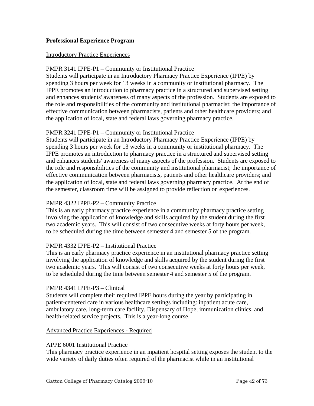## **Professional Experience Program**

#### Introductory Practice Experiences

#### PMPR 3141 IPPE-P1 – Community or Institutional Practice

Students will participate in an Introductory Pharmacy Practice Experience (IPPE) by spending 3 hours per week for 13 weeks in a community or institutional pharmacy. The IPPE promotes an introduction to pharmacy practice in a structured and supervised setting and enhances students' awareness of many aspects of the profession. Students are exposed to the role and responsibilities of the community and institutional pharmacist; the importance of effective communication between pharmacists, patients and other healthcare providers; and the application of local, state and federal laws governing pharmacy practice.

#### PMPR 3241 IPPE-P1 – Community or Institutional Practice

Students will participate in an Introductory Pharmacy Practice Experience (IPPE) by spending 3 hours per week for 13 weeks in a community or institutional pharmacy. The IPPE promotes an introduction to pharmacy practice in a structured and supervised setting and enhances students' awareness of many aspects of the profession. Students are exposed to the role and responsibilities of the community and institutional pharmacist; the importance of effective communication between pharmacists, patients and other healthcare providers; and the application of local, state and federal laws governing pharmacy practice. At the end of the semester, classroom time will be assigned to provide reflection on experiences.

#### PMPR 4322 IPPE-P2 – Community Practice

This is an early pharmacy practice experience in a community pharmacy practice setting involving the application of knowledge and skills acquired by the student during the first two academic years. This will consist of two consecutive weeks at forty hours per week, to be scheduled during the time between semester 4 and semester 5 of the program.

#### PMPR 4332 IPPE-P2 – Institutional Practice

This is an early pharmacy practice experience in an institutional pharmacy practice setting involving the application of knowledge and skills acquired by the student during the first two academic years. This will consist of two consecutive weeks at forty hours per week, to be scheduled during the time between semester 4 and semester 5 of the program.

#### PMPR 4341 IPPE-P3 – Clinical

Students will complete their required IPPE hours during the year by participating in patient-centered care in various healthcare settings including: inpatient acute care, ambulatory care, long-term care facility, Dispensary of Hope, immunization clinics, and health-related service projects. This is a year-long course.

#### Advanced Practice Experiences - Required

#### APPE 6001 Institutional Practice

This pharmacy practice experience in an inpatient hospital setting exposes the student to the wide variety of daily duties often required of the pharmacist while in an institutional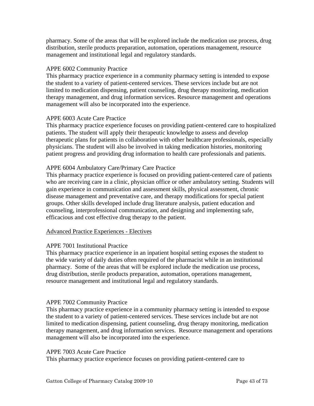pharmacy. Some of the areas that will be explored include the medication use process, drug distribution, sterile products preparation, automation, operations management, resource management and institutional legal and regulatory standards.

## APPE 6002 Community Practice

This pharmacy practice experience in a community pharmacy setting is intended to expose the student to a variety of patient-centered services. These services include but are not limited to medication dispensing, patient counseling, drug therapy monitoring, medication therapy management, and drug information services. Resource management and operations management will also be incorporated into the experience.

## APPE 6003 Acute Care Practice

This pharmacy practice experience focuses on providing patient-centered care to hospitalized patients. The student will apply their therapeutic knowledge to assess and develop therapeutic plans for patients in collaboration with other healthcare professionals, especially physicians. The student will also be involved in taking medication histories, monitoring patient progress and providing drug information to health care professionals and patients.

## APPE 6004 Ambulatory Care/Primary Care Practice

This pharmacy practice experience is focused on providing patient-centered care of patients who are receiving care in a clinic, physician office or other ambulatory setting. Students will gain experience in communication and assessment skills, physical assessment, chronic disease management and preventative care, and therapy modifications for special patient groups. Other skills developed include drug literature analysis, patient education and counseling, interprofessional communication, and designing and implementing safe, efficacious and cost effective drug therapy to the patient.

# Advanced Practice Experiences - Electives

#### APPE 7001 Institutional Practice

This pharmacy practice experience in an inpatient hospital setting exposes the student to the wide variety of daily duties often required of the pharmacist while in an institutional pharmacy. Some of the areas that will be explored include the medication use process, drug distribution, sterile products preparation, automation, operations management, resource management and institutional legal and regulatory standards.

#### APPE 7002 Community Practice

This pharmacy practice experience in a community pharmacy setting is intended to expose the student to a variety of patient-centered services. These services include but are not limited to medication dispensing, patient counseling, drug therapy monitoring, medication therapy management, and drug information services. Resource management and operations management will also be incorporated into the experience.

#### APPE 7003 Acute Care Practice

This pharmacy practice experience focuses on providing patient-centered care to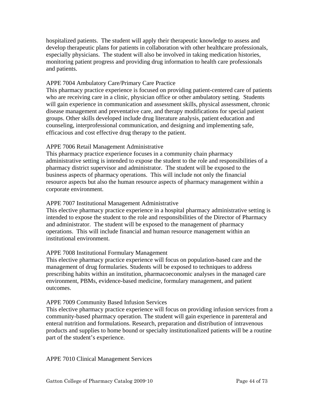hospitalized patients. The student will apply their therapeutic knowledge to assess and develop therapeutic plans for patients in collaboration with other healthcare professionals, especially physicians. The student will also be involved in taking medication histories, monitoring patient progress and providing drug information to health care professionals and patients.

#### APPE 7004 Ambulatory Care/Primary Care Practice

This pharmacy practice experience is focused on providing patient-centered care of patients who are receiving care in a clinic, physician office or other ambulatory setting. Students will gain experience in communication and assessment skills, physical assessment, chronic disease management and preventative care, and therapy modifications for special patient groups. Other skills developed include drug literature analysis, patient education and counseling, interprofessional communication, and designing and implementing safe, efficacious and cost effective drug therapy to the patient.

#### APPE 7006 Retail Management Administrative

This pharmacy practice experience focuses in a community chain pharmacy administrative setting is intended to expose the student to the role and responsibilities of a pharmacy district supervisor and administrator. The student will be exposed to the business aspects of pharmacy operations. This will include not only the financial resource aspects but also the human resource aspects of pharmacy management within a corporate environment.

#### APPE 7007 Institutional Management Administrative

This elective pharmacy practice experience in a hospital pharmacy administrative setting is intended to expose the student to the role and responsibilities of the Director of Pharmacy and administrator. The student will be exposed to the management of pharmacy operations. This will include financial and human resource management within an institutional environment.

#### APPE 7008 Institutional Formulary Management

This elective pharmacy practice experience will focus on population-based care and the management of drug formularies. Students will be exposed to techniques to address prescribing habits within an institution, pharmacoeconomic analyses in the managed care environment, PBMs, evidence-based medicine, formulary management, and patient outcomes.

#### APPE 7009 Community Based Infusion Services

This elective pharmacy practice experience will focus on providing infusion services from a community-based pharmacy operation. The student will gain experience in parenteral and enteral nutrition and formulations. Research, preparation and distribution of intravenous products and supplies to home bound or specialty institutionalized patients will be a routine part of the student's experience.

APPE 7010 Clinical Management Services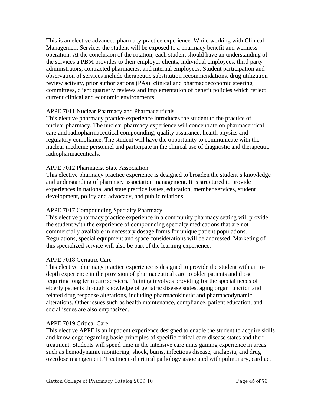This is an elective advanced pharmacy practice experience. While working with Clinical Management Services the student will be exposed to a pharmacy benefit and wellness operation. At the conclusion of the rotation, each student should have an understanding of the services a PBM provides to their employer clients, individual employees, third party administrators, contracted pharmacies, and internal employees. Student participation and observation of services include therapeutic substitution recommendations, drug utilization review activity, prior authorizations (PAs), clinical and pharmacoeconomic steering committees, client quarterly reviews and implementation of benefit policies which reflect current clinical and economic environments.

## APPE 7011 Nuclear Pharmacy and Pharmaceuticals

This elective pharmacy practice experience introduces the student to the practice of nuclear pharmacy. The nuclear pharmacy experience will concentrate on pharmaceutical care and radiopharmaceutical compounding, quality assurance, health physics and regulatory compliance. The student will have the opportunity to communicate with the nuclear medicine personnel and participate in the clinical use of diagnostic and therapeutic radiopharmaceuticals.

# APPE 7012 Pharmacist State Association

This elective pharmacy practice experience is designed to broaden the student's knowledge and understanding of pharmacy association management. It is structured to provide experiences in national and state practice issues, education, member services, student development, policy and advocacy, and public relations.

#### APPE 7017 Compounding Specialty Pharmacy

This elective pharmacy practice experience in a community pharmacy setting will provide the student with the experience of compounding specialty medications that are not commercially available in necessary dosage forms for unique patient populations. Regulations, special equipment and space considerations will be addressed. Marketing of this specialized service will also be part of the learning experience.

#### APPE 7018 Geriatric Care

This elective pharmacy practice experience is designed to provide the student with an indepth experience in the provision of pharmaceutical care to older patients and those requiring long term care services. Training involves providing for the special needs of elderly patients through knowledge of geriatric disease states, aging organ function and related drug response alterations, including pharmacokinetic and pharmacodynamic alterations. Other issues such as health maintenance, compliance, patient education, and social issues are also emphasized.

#### APPE 7019 Critical Care

This elective APPE is an inpatient experience designed to enable the student to acquire skills and knowledge regarding basic principles of specific critical care disease states and their treatment. Students will spend time in the intensive care units gaining experience in areas such as hemodynamic monitoring, shock, burns, infectious disease, analgesia, and drug overdose management. Treatment of critical pathology associated with pulmonary, cardiac,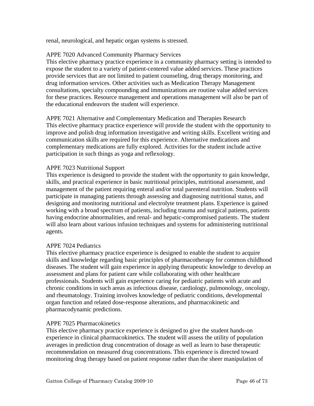renal, neurological, and hepatic organ systems is stressed.

#### APPE 7020 Advanced Community Pharmacy Services

This elective pharmacy practice experience in a community pharmacy setting is intended to expose the student to a variety of patient-centered value added services. These practices provide services that are not limited to patient counseling, drug therapy monitoring, and drug information services. Other activities such as Medication Therapy Management consultations, specialty compounding and immunizations are routine value added services for these practices. Resource management and operations management will also be part of the educational endeavors the student will experience.

APPE 7021 Alternative and Complementary Medication and Therapies Research This elective pharmacy practice experience will provide the student with the opportunity to improve and polish drug information investigative and writing skills. Excellent writing and communication skills are required for this experience. Alternative medications and complementary medications are fully explored. Activities for the student include active participation in such things as yoga and reflexology.

#### APPE 7023 Nutritional Support

This experience is designed to provide the student with the opportunity to gain knowledge, skills, and practical experience in basic nutritional principles, nutritional assessment, and management of the patient requiring enteral and/or total parenteral nutrition. Students will participate in managing patients through assessing and diagnosing nutritional status, and designing and monitoring nutritional and electrolyte treatment plans. Experience is gained working with a broad spectrum of patients, including trauma and surgical patients, patients having endocrine abnormalities, and renal- and hepatic-compromised patients. The student will also learn about various infusion techniques and systems for administering nutritional agents.

#### APPE 7024 Pediatrics

This elective pharmacy practice experience is designed to enable the student to acquire skills and knowledge regarding basic principles of pharmacotherapy for common childhood diseases. The student will gain experience in applying therapeutic knowledge to develop an assessment and plans for patient care while collaborating with other healthcare professionals. Students will gain experience caring for pediatric patients with acute and chronic conditions in such areas as infectious disease, cardiology, pulmonology, oncology, and rheumatology. Training involves knowledge of pediatric conditions, developmental organ function and related dose-response alterations, and pharmacokinetic and pharmacodynamic predictions.

#### APPE 7025 Pharmacokinetics

This elective pharmacy practice experience is designed to give the student hands-on experience in clinical pharmacokinetics. The student will assess the utility of population averages in prediction drug concentration of dosage as well as learn to base therapeutic recommendation on measured drug concentrations. This experience is directed toward monitoring drug therapy based on patient response rather than the sheer manipulation of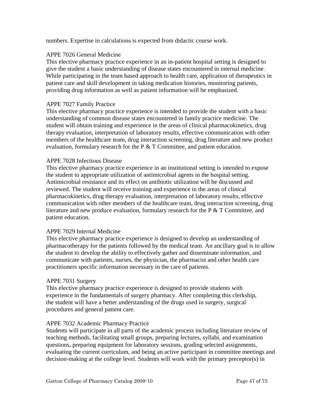numbers. Expertise in calculations is expected from didactic course work.

## APPE 7026 General Medicine

This elective pharmacy practice experience in an in-patient hospital setting is designed to give the student a basic understanding of disease states encountered in internal medicine. While participating in the team based approach to health care, application of therapeutics in patient care and skill development in taking medication histories, monitoring patients, providing drug information as well as patient information will be emphasized.

#### APPE 7027 Family Practice

This elective pharmacy practice experience is intended to provide the student with a basic understanding of common disease states encountered in family practice medicine. The student will obtain training and experience in the areas of clinical pharmacokinetics, drug therapy evaluation, interpretation of laboratory results, effective communication with other members of the healthcare team, drug interaction screening, drug literature and new product evaluation, formulary research for the  $P \& T$  Committee, and patient education.

#### APPE 7028 Infectious Disease

This elective pharmacy practice experience in an institutional setting is intended to expose the student to appropriate utilization of antimicrobial agents in the hospital setting. Antimicrobial resistance and its effect on antibiotic utilization will be discussed and reviewed. The student will receive training and experience in the areas of clinical pharmacokinetics, drug therapy evaluation, interpretation of laboratory results, effective communication with other members of the healthcare team, drug interaction screening, drug literature and new produce evaluation, formulary research for the P & T Committee, and patient education.

# APPE 7029 Internal Medicine

This elective pharmacy practice experience is designed to develop an understanding of pharmacotherapy for the patients followed by the medical team. An ancillary goal is to allow the student to develop the ability to effectively gather and disseminate information, and communicate with patients, nurses, the physician, the pharmacist and other health care practitioners specific information necessary in the care of patients.

#### APPE 7031 Surgery

This elective pharmacy practice experience is designed to provide students with experience in the fundamentals of surgery pharmacy. After completing this clerkship, the student will have a better understanding of the drugs used in surgery, surgical procedures and general patient care.

# APPE 7032 Academic Pharmacy Practice

Students will participate in all parts of the academic process including literature review of teaching methods, facilitating small groups, preparing lectures, syllabi, and examination questions, preparing equipment for laboratory sessions, grading selected assignments, evaluating the current curriculum, and being an active participant in committee meetings and decision-making at the college level. Students will work with the primary preceptor(s) in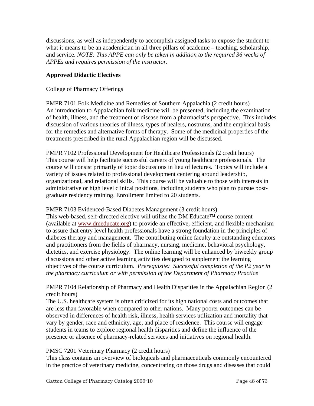discussions, as well as independently to accomplish assigned tasks to expose the student to what it means to be an academician in all three pillars of academic – teaching, scholarship, and service. *NOTE: This APPE can only be taken in addition to the required 36 weeks of APPEs and requires permission of the instructor.* 

# **Approved Didactic Electives**

# College of Pharmacy Offerings

PMPR 7101 Folk Medicine and Remedies of Southern Appalachia (2 credit hours) An introduction to Appalachian folk medicine will be presented, including the examination of health, illness, and the treatment of disease from a pharmacist's perspective. This includes discussion of various theories of illness, types of healers, nostrums, and the empirical basis for the remedies and alternative forms of therapy. Some of the medicinal properties of the treatments prescribed in the rural Appalachian region will be discussed.

PMPR 7102 Professional Development for Healthcare Professionals (2 credit hours) This course will help facilitate successful careers of young healthcare professionals. The course will consist primarily of topic discussions in lieu of lectures. Topics will include a variety of issues related to professional development centering around leadership, organizational, and relational skills. This course will be valuable to those with interests in administrative or high level clinical positions, including students who plan to pursue postgraduate residency training. Enrollment limited to 20 students.

#### PMPR 7103 Evidenced-Based Diabetes Management (3 credit hours)

This web-based, self-directed elective will utilize the DM Educate™ course content (available at www.dmeducate.org) to provide an effective, efficient, and flexible mechanism to assure that entry level health professionals have a strong foundation in the principles of diabetes therapy and management. The contributing online faculty are outstanding educators and practitioners from the fields of pharmacy, nursing, medicine, behavioral psychology, dietetics, and exercise physiology. The online learning will be enhanced by biweekly group discussions and other active learning activities designed to supplement the learning objectives of the course curriculum. *Prerequisite: Successful completion of the P2 year in the pharmacy curriculum or with permission of the Department of Pharmacy Practice* 

# PMPR 7104 Relationship of Pharmacy and Health Disparities in the Appalachian Region (2 credit hours)

The U.S. healthcare system is often criticized for its high national costs and outcomes that are less than favorable when compared to other nations. Many poorer outcomes can be observed in differences of health risk, illness, health services utilization and mortality that vary by gender, race and ethnicity, age, and place of residence. This course will engage students in teams to explore regional health disparities and define the influence of the presence or absence of pharmacy-related services and initiatives on regional health.

# PMSC 7201 Veterinary Pharmacy (2 credit hours)

This class contains an overview of biologicals and pharmaceuticals commonly encountered in the practice of veterinary medicine, concentrating on those drugs and diseases that could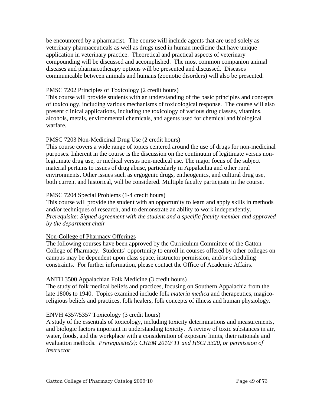be encountered by a pharmacist. The course will include agents that are used solely as veterinary pharmaceuticals as well as drugs used in human medicine that have unique application in veterinary practice. Theoretical and practical aspects of veterinary compounding will be discussed and accomplished. The most common companion animal diseases and pharmacotherapy options will be presented and discussed. Diseases communicable between animals and humans (zoonotic disorders) will also be presented.

#### PMSC 7202 Principles of Toxicology (2 credit hours)

This course will provide students with an understanding of the basic principles and concepts of toxicology, including various mechanisms of toxicological response. The course will also present clinical applications, including the toxicology of various drug classes, vitamins, alcohols, metals, environmental chemicals, and agents used for chemical and biological warfare.

## PMSC 7203 Non-Medicinal Drug Use (2 credit hours)

This course covers a wide range of topics centered around the use of drugs for non-medicinal purposes. Inherent in the course is the discussion on the continuum of legitimate versus nonlegitimate drug use, or medical versus non-medical use. The major focus of the subject material pertains to issues of drug abuse, particularly in Appalachia and other rural environments. Other issues such as ergogenic drugs, entheogenics, and cultural drug use, both current and historical, will be considered. Multiple faculty participate in the course.

#### PMSC 7204 Special Problems (1-4 credit hours)

This course will provide the student with an opportunity to learn and apply skills in methods and/or techniques of research, and to demonstrate an ability to work independently. *Prerequisite: Signed agreement with the student and a specific faculty member and approved by the department chair* 

#### Non-College of Pharmacy Offerings

The following courses have been approved by the Curriculum Committee of the Gatton College of Pharmacy. Students' opportunity to enroll in courses offered by other colleges on campus may be dependent upon class space, instructor permission, and/or scheduling constraints. For further information, please contact the Office of Academic Affairs.

#### ANTH 3500 Appalachian Folk Medicine (3 credit hours)

The study of folk medical beliefs and practices, focusing on Southern Appalachia from the late 1800s to 1940. Topics examined include folk *materia medica* and therapeutics, magicoreligious beliefs and practices, folk healers, folk concepts of illness and human physiology.

#### ENVH 4357/5357 Toxicology (3 credit hours)

A study of the essentials of toxicology, including toxicity determinations and measurements, and biologic factors important in understanding toxicity. A review of toxic substances in air, water, foods, and the workplace with a consideration of exposure limits, their rationale and evaluation methods. *Prerequisite(s): CHEM 2010/ 11 and HSCI 3320, or permission of instructor*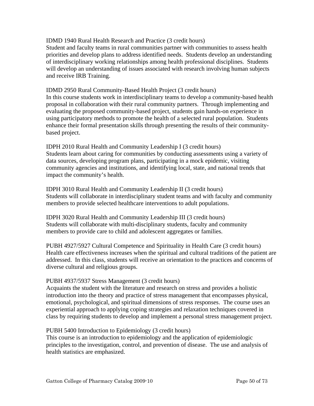IDMD 1940 Rural Health Research and Practice (3 credit hours) Student and faculty teams in rural communities partner with communities to assess health priorities and develop plans to address identified needs. Students develop an understanding of interdisciplinary working relationships among health professional disciplines. Students will develop an understanding of issues associated with research involving human subjects and receive IRB Training.

IDMD 2950 Rural Community-Based Health Project (3 credit hours) In this course students work in interdisciplinary teams to develop a community-based health proposal in collaboration with their rural community partners. Through implementing and evaluating the proposed community-based project, students gain hands-on experience in using participatory methods to promote the health of a selected rural population. Students enhance their formal presentation skills through presenting the results of their communitybased project.

IDPH 2010 Rural Health and Community Leadership I (3 credit hours) Students learn about caring for communities by conducting assessments using a variety of data sources, developing program plans, participating in a mock epidemic, visiting community agencies and institutions, and identifying local, state, and national trends that impact the community's health.

IDPH 3010 Rural Health and Community Leadership II (3 credit hours) Students will collaborate in interdisciplinary student teams and with faculty and community members to provide selected healthcare interventions to adult populations.

IDPH 3020 Rural Health and Community Leadership III (3 credit hours) Students will collaborate with multi-disciplinary students, faculty and community members to provide care to child and adolescent aggregates or families.

PUBH 4927/5927 Cultural Competence and Spirituality in Health Care (3 credit hours) Health care effectiveness increases when the spiritual and cultural traditions of the patient are addressed. In this class, students will receive an orientation to the practices and concerns of diverse cultural and religious groups.

# PUBH 4937/5937 Stress Management (3 credit hours)

Acquaints the student with the literature and research on stress and provides a holistic introduction into the theory and practice of stress management that encompasses physical, emotional, psychological, and spiritual dimensions of stress responses. The course uses an experiential approach to applying coping strategies and relaxation techniques covered in class by requiring students to develop and implement a personal stress management project.

# PUBH 5400 Introduction to Epidemiology (3 credit hours)

This course is an introduction to epidemiology and the application of epidemiologic principles to the investigation, control, and prevention of disease. The use and analysis of health statistics are emphasized.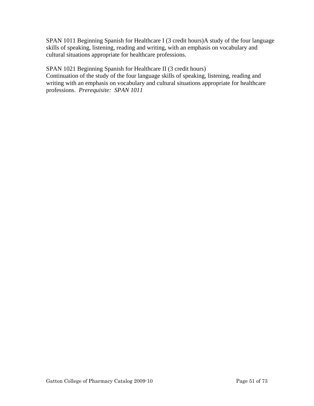SPAN 1011 Beginning Spanish for Healthcare I (3 credit hours)A study of the four language skills of speaking, listening, reading and writing, with an emphasis on vocabulary and cultural situations appropriate for healthcare professions.

# SPAN 1021 Beginning Spanish for Healthcare II (3 credit hours)

Continuation of the study of the four language skills of speaking, listening, reading and writing with an emphasis on vocabulary and cultural situations appropriate for healthcare professions. *Prerequisite: SPAN 1011*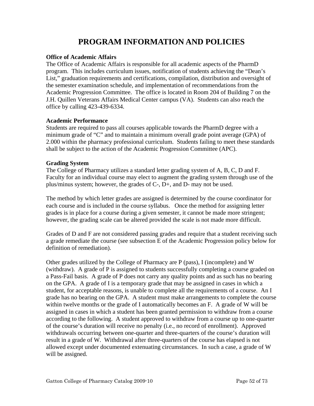# **PROGRAM INFORMATION AND POLICIES**

#### **Office of Academic Affairs**

The Office of Academic Affairs is responsible for all academic aspects of the PharmD program. This includes curriculum issues, notification of students achieving the "Dean's List," graduation requirements and certifications, compilation, distribution and oversight of the semester examination schedule, and implementation of recommendations from the Academic Progression Committee. The office is located in Room 204 of Building 7 on the J.H. Quillen Veterans Affairs Medical Center campus (VA). Students can also reach the office by calling 423-439-6334.

#### **Academic Performance**

Students are required to pass all courses applicable towards the PharmD degree with a minimum grade of "C" and to maintain a minimum overall grade point average (GPA) of 2.000 within the pharmacy professional curriculum. Students failing to meet these standards shall be subject to the action of the Academic Progression Committee (APC).

#### **Grading System**

The College of Pharmacy utilizes a standard letter grading system of A, B, C, D and F. Faculty for an individual course may elect to augment the grading system through use of the plus/minus system; however, the grades of C-, D+, and D- may not be used.

The method by which letter grades are assigned is determined by the course coordinator for each course and is included in the course syllabus. Once the method for assigning letter grades is in place for a course during a given semester, it cannot be made more stringent; however, the grading scale can be altered provided the scale is not made more difficult.

Grades of D and F are not considered passing grades and require that a student receiving such a grade remediate the course (see subsection E of the Academic Progression policy below for definition of remediation).

Other grades utilized by the College of Pharmacy are P (pass), I (incomplete) and W (withdraw). A grade of P is assigned to students successfully completing a course graded on a Pass-Fail basis. A grade of P does not carry any quality points and as such has no bearing on the GPA. A grade of I is a temporary grade that may be assigned in cases in which a student, for acceptable reasons, is unable to complete all the requirements of a course. An I grade has no bearing on the GPA. A student must make arrangements to complete the course within twelve months or the grade of I automatically becomes an F. A grade of W will be assigned in cases in which a student has been granted permission to withdraw from a course according to the following. A student approved to withdraw from a course up to one-quarter of the course's duration will receive no penalty (i.e., no record of enrollment). Approved withdrawals occurring between one-quarter and three-quarters of the course's duration will result in a grade of W. Withdrawal after three-quarters of the course has elapsed is not allowed except under documented extenuating circumstances. In such a case, a grade of W will be assigned.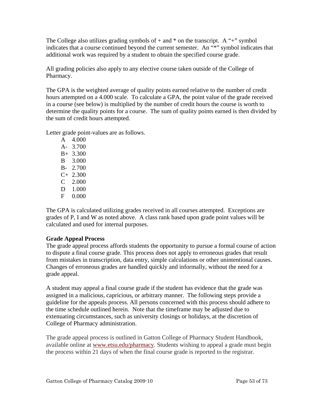The College also utilizes grading symbols of  $+$  and  $*$  on the transcript. A "+" symbol indicates that a course continued beyond the current semester. An "\*" symbol indicates that additional work was required by a student to obtain the specified course grade.

All grading policies also apply to any elective course taken outside of the College of Pharmacy.

The GPA is the weighted average of quality points earned relative to the number of credit hours attempted on a 4.000 scale. To calculate a GPA, the point value of the grade received in a course (see below) is multiplied by the number of credit hours the course is worth to determine the quality points for a course. The sum of quality points earned is then divided by the sum of credit hours attempted.

Letter grade point-values are as follows.

 A 4.000 A- 3.700 B+ 3.300 B 3.000 B- 2.700  $C+ 2.300$  C 2.000 D 1.000 F 0.000

The GPA is calculated utilizing grades received in all courses attempted. Exceptions are grades of P, I and W as noted above. A class rank based upon grade point values will be calculated and used for internal purposes.

# **Grade Appeal Process**

The grade appeal process affords students the opportunity to pursue a formal course of action to dispute a final course grade. This process does not apply to erroneous grades that result from mistakes in transcription, data entry, simple calculations or other unintentional causes. Changes of erroneous grades are handled quickly and informally, without the need for a grade appeal.

A student may appeal a final course grade if the student has evidence that the grade was assigned in a malicious, capricious, or arbitrary manner. The following steps provide a guideline for the appeals process. All persons concerned with this process should adhere to the time schedule outlined herein. Note that the timeframe may be adjusted due to extenuating circumstances, such as university closings or holidays, at the discretion of College of Pharmacy administration.

The grade appeal process is outlined in Gatton College of Pharmacy Student Handbook, available online at www.etsu.edu/pharmacy. Students wishing to appeal a grade must begin the process within 21 days of when the final course grade is reported to the registrar.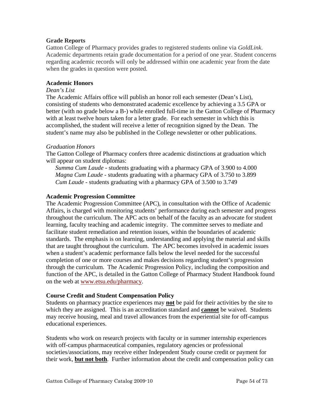## **Grade Reports**

Gatton College of Pharmacy provides grades to registered students online via *GoldLink*. Academic departments retain grade documentation for a period of one year. Student concerns regarding academic records will only be addressed within one academic year from the date when the grades in question were posted.

#### **Academic Honors**

#### *Dean's List*

The Academic Affairs office will publish an honor roll each semester (Dean's List), consisting of students who demonstrated academic excellence by achieving a 3.5 GPA or better (with no grade below a B-) while enrolled full-time in the Gatton College of Pharmacy with at least twelve hours taken for a letter grade. For each semester in which this is accomplished, the student will receive a letter of recognition signed by the Dean. The student's name may also be published in the College newsletter or other publications.

#### *Graduation Honors*

The Gatton College of Pharmacy confers three academic distinctions at graduation which will appear on student diplomas:

*Summa Cum Laude* - students graduating with a pharmacy GPA of 3.900 to 4.000 *Magna Cum Laude* - students graduating with a pharmacy GPA of 3.750 to 3.899 *Cum Laude* - students graduating with a pharmacy GPA of 3.500 to 3.749

#### **Academic Progression Committee**

The Academic Progression Committee (APC), in consultation with the Office of Academic Affairs, is charged with monitoring students' performance during each semester and progress throughout the curriculum. The APC acts on behalf of the faculty as an advocate for student learning, faculty teaching and academic integrity. The committee serves to mediate and facilitate student remediation and retention issues, within the boundaries of academic standards. The emphasis is on learning, understanding and applying the material and skills that are taught throughout the curriculum. The APC becomes involved in academic issues when a student's academic performance falls below the level needed for the successful completion of one or more courses and makes decisions regarding student's progression through the curriculum. The Academic Progression Policy, including the composition and function of the APC, is detailed in the Gatton College of Pharmacy Student Handbook found on the web at www.etsu.edu/pharmacy.

#### **Course Credit and Student Compensation Policy**

Students on pharmacy practice experiences may **not** be paid for their activities by the site to which they are assigned. This is an accreditation standard and **cannot** be waived. Students may receive housing, meal and travel allowances from the experiential site for off-campus educational experiences.

Students who work on research projects with faculty or in summer internship experiences with off-campus pharmaceutical companies, regulatory agencies or professional societies/associations, may receive either Independent Study course credit or payment for their work, **but not both**. Further information about the credit and compensation policy can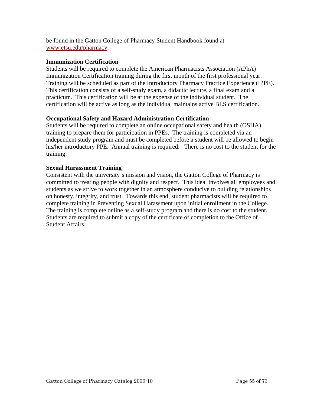be found in the Gatton College of Pharmacy Student Handbook found at www.etsu.edu/pharmacy.

## **Immunization Certification**

Students will be required to complete the American Pharmacists Association (APhA) Immunization Certification training during the first month of the first professional year. Training will be scheduled as part of the Introductory Pharmacy Practice Experience (IPPE). This certification consists of a self-study exam, a didactic lecture, a final exam and a practicum. This certification will be at the expense of the individual student. The certification will be active as long as the individual maintains active BLS certification.

# **Occupational Safety and Hazard Administration Certification**

Students will be required to complete an online occupational safety and health (OSHA) training to prepare them for participation in PPEs. The training is completed via an independent study program and must be completed before a student will be allowed to begin his/her introductory PPE. Annual training is required. There is no cost to the student for the training.

## **Sexual Harassment Training**

Consistent with the university's mission and vision, the Gatton College of Pharmacy is committed to treating people with dignity and respect. This ideal involves all employees and students as we strive to work together in an atmosphere conducive to building relationships on honesty, integrity, and trust. Towards this end, student pharmacists will be required to complete training in Preventing Sexual Harassment upon initial enrollment in the College. The training is complete online as a self-study program and there is no cost to the student. Students are required to submit a copy of the certificate of completion to the Office of Student Affairs.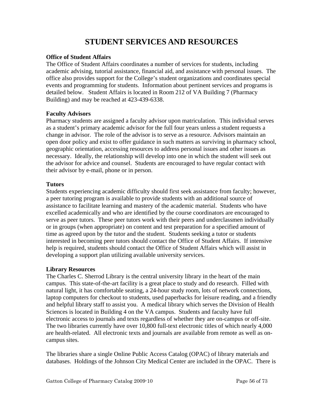# **STUDENT SERVICES AND RESOURCES**

#### **Office of Student Affairs**

The Office of Student Affairs coordinates a number of services for students, including academic advising, tutorial assistance, financial aid, and assistance with personal issues. The office also provides support for the College's student organizations and coordinates special events and programming for students. Information about pertinent services and programs is detailed below. Student Affairs is located in Room 212 of VA Building 7 (Pharmacy Building) and may be reached at 423-439-6338.

## **Faculty Advisors**

Pharmacy students are assigned a faculty advisor upon matriculation. This individual serves as a student's primary academic advisor for the full four years unless a student requests a change in advisor. The role of the advisor is to serve as a resource. Advisors maintain an open door policy and exist to offer guidance in such matters as surviving in pharmacy school, geographic orientation, accessing resources to address personal issues and other issues as necessary. Ideally, the relationship will develop into one in which the student will seek out the advisor for advice and counsel. Students are encouraged to have regular contact with their advisor by e-mail, phone or in person.

# **Tutors**

Students experiencing academic difficulty should first seek assistance from faculty; however, a peer tutoring program is available to provide students with an additional source of assistance to facilitate learning and mastery of the academic material. Students who have excelled academically and who are identified by the course coordinators are encouraged to serve as peer tutors. These peer tutors work with their peers and underclassmen individually or in groups (when appropriate) on content and test preparation for a specified amount of time as agreed upon by the tutor and the student. Students seeking a tutor or students interested in becoming peer tutors should contact the Office of Student Affairs. If intensive help is required, students should contact the Office of Student Affairs which will assist in developing a support plan utilizing available university services.

# **Library Resources**

The Charles C. Sherrod Library is the central university library in the heart of the main campus. This state-of-the-art facility is a great place to study and do research. Filled with natural light, it has comfortable seating, a 24-hour study room, lots of network connections, laptop computers for checkout to students, used paperbacks for leisure reading, and a friendly and helpful library staff to assist you. A medical library which serves the Division of Health Sciences is located in Building 4 on the VA campus. Students and faculty have full electronic access to journals and texts regardless of whether they are on-campus or off-site. The two libraries currently have over 10,800 full-text electronic titles of which nearly 4,000 are health-related. All electronic texts and journals are available from remote as well as oncampus sites.

The libraries share a single Online Public Access Catalog (OPAC) of library materials and databases. Holdings of the Johnson City Medical Center are included in the OPAC. There is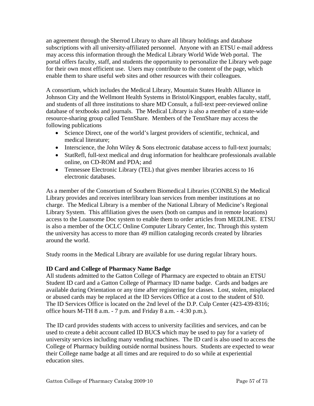an agreement through the Sherrod Library to share all library holdings and database subscriptions with all university-affiliated personnel. Anyone with an ETSU e-mail address may access this information through the Medical Library World Wide Web portal. The portal offers faculty, staff, and students the opportunity to personalize the Library web page for their own most efficient use. Users may contribute to the content of the page, which enable them to share useful web sites and other resources with their colleagues.

A consortium, which includes the Medical Library, Mountain States Health Alliance in Johnson City and the Wellmont Health Systems in Bristol/Kingsport, enables faculty, staff, and students of all three institutions to share MD Consult, a full-text peer-reviewed online database of textbooks and journals. The Medical Library is also a member of a state-wide resource-sharing group called TennShare. Members of the TennShare may access the following publications

- Science Direct, one of the world's largest providers of scientific, technical, and medical literature;
- Interscience, the John Wiley  $&$  Sons electronic database access to full-text journals;
- StatRefl, full-text medical and drug information for healthcare professionals available online, on CD-ROM and PDA; and
- Tennessee Electronic Library (TEL) that gives member libraries access to 16 electronic databases.

As a member of the Consortium of Southern Biomedical Libraries (CONBLS) the Medical Library provides and receives interlibrary loan services from member institutions at no charge. The Medical Library is a member of the National Library of Medicine's Regional Library System. This affiliation gives the users (both on campus and in remote locations) access to the Loansome Doc system to enable them to order articles from MEDLINE. ETSU is also a member of the OCLC Online Computer Library Center, Inc. Through this system the university has access to more than 49 million cataloging records created by libraries around the world.

Study rooms in the Medical Library are available for use during regular library hours.

# **ID Card and College of Pharmacy Name Badge**

All students admitted to the Gatton College of Pharmacy are expected to obtain an ETSU Student ID card and a Gatton College of Pharmacy ID name badge. Cards and badges are available during Orientation or any time after registering for classes. Lost, stolen, misplaced or abused cards may be replaced at the ID Services Office at a cost to the student of \$10. The ID Services Office is located on the 2nd level of the D.P. Culp Center (423-439-8316; office hours M-TH 8 a.m. - 7 p.m. and Friday 8 a.m. - 4:30 p.m.).

The ID card provides students with access to university facilities and services, and can be used to create a debit account called ID BUC\$ which may be used to pay for a variety of university services including many vending machines. The ID card is also used to access the College of Pharmacy building outside normal business hours. Students are expected to wear their College name badge at all times and are required to do so while at experiential education sites.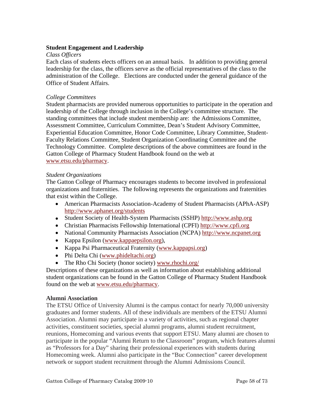#### **Student Engagement and Leadership**

#### *Class Officers*

Each class of students elects officers on an annual basis. In addition to providing general leadership for the class, the officers serve as the official representatives of the class to the administration of the College. Elections are conducted under the general guidance of the Office of Student Affairs.

#### *College Committees*

Student pharmacists are provided numerous opportunities to participate in the operation and leadership of the College through inclusion in the College's committee structure. The standing committees that include student membership are: the Admissions Committee, Assessment Committee, Curriculum Committee, Dean's Student Advisory Committee, Experiential Education Committee, Honor Code Committee, Library Committee, Student-Faculty Relations Committee, Student Organization Coordinating Committee and the Technology Committee. Complete descriptions of the above committees are found in the Gatton College of Pharmacy Student Handbook found on the web at www.etsu.edu/pharmacy.

#### *Student Organizations*

The Gatton College of Pharmacy encourages students to become involved in professional organizations and fraternities. The following represents the organizations and fraternities that exist within the College.

- American Pharmacists Association-Academy of Student Pharmacists (APhA-ASP) http://www.aphanet.org/students
- Student Society of Health-System Pharmacists (SSHP) http://www.ashp.org
- Christian Pharmacists Fellowship International (CPFI) http://www.cpfi.org
- National Community Pharmacists Association (NCPA) http://www.ncpanet.org
- Kappa Epsilon (www.kappaepsilon.org),
- Kappa Psi Pharmaceutical Fraternity (www.kappapsi.org)
- Phi Delta Chi (www.phideltachi.org)
- The Rho Chi Society (honor society) www.rhochi.org/

Descriptions of these organizations as well as information about establishing additional student organizations can be found in the Gatton College of Pharmacy Student Handbook found on the web at www.etsu.edu/pharmacy.

#### **Alumni Association**

The ETSU Office of University Alumni is the campus contact for nearly 70,000 university graduates and former students. All of these individuals are members of the ETSU Alumni Association. Alumni may participate in a variety of activities, such as regional chapter activities, constituent societies, special alumni programs, alumni student recruitment, reunions, Homecoming and various events that support ETSU. Many alumni are chosen to participate in the popular "Alumni Return to the Classroom" program, which features alumni as "Professors for a Day" sharing their professional experiences with students during Homecoming week. Alumni also participate in the "Buc Connection" career development network or support student recruitment through the Alumni Admissions Council.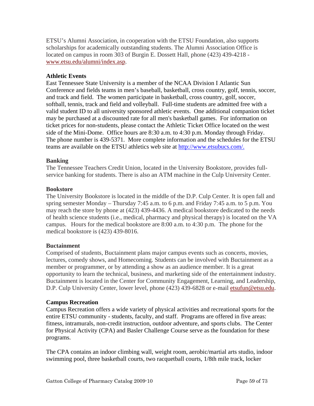ETSU's Alumni Association, in cooperation with the ETSU Foundation, also supports scholarships for academically outstanding students. The Alumni Association Office is located on campus in room 303 of Burgin E. Dossett Hall, phone (423) 439-4218 www.etsu.edu/alumni/index.asp.

## **Athletic Events**

East Tennessee State University is a member of the NCAA Division I Atlantic Sun Conference and fields teams in men's baseball, basketball, cross country, golf, tennis, soccer, and track and field. The women participate in basketball, cross country, golf, soccer, softball, tennis, track and field and volleyball. Full-time students are admitted free with a valid student ID to all university sponsored athletic events. One additional companion ticket may be purchased at a discounted rate for all men's basketball games. For information on ticket prices for non-students, please contact the Athletic Ticket Office located on the west side of the Mini-Dome. Office hours are 8:30 a.m. to 4:30 p.m. Monday through Friday. The phone number is 439-5371. More complete information and the schedules for the ETSU teams are available on the ETSU athletics web site at http://www.etsubucs.com/.

## **Banking**

The Tennessee Teachers Credit Union, located in the University Bookstore, provides fullservice banking for students. There is also an ATM machine in the Culp University Center.

## **Bookstore**

The University Bookstore is located in the middle of the D.P. Culp Center. It is open fall and spring semester Monday – Thursday 7:45 a.m. to 6 p.m. and Friday 7:45 a.m. to 5 p.m. You may reach the store by phone at (423) 439-4436. A medical bookstore dedicated to the needs of health science students (i.e., medical, pharmacy and physical therapy) is located on the VA campus. Hours for the medical bookstore are 8:00 a.m. to 4:30 p.m. The phone for the medical bookstore is (423) 439-8016.

# **Buctainment**

Comprised of students, Buctainment plans major campus events such as concerts, movies, lectures, comedy shows, and Homecoming. Students can be involved with Buctainment as a member or programmer, or by attending a show as an audience member. It is a great opportunity to learn the technical, business, and marketing side of the entertainment industry. Buctainment is located in the Center for Community Engagement, Learning, and Leadership, D.P. Culp University Center, lower level, phone (423) 439-6828 or e-mail etsufun@etsu.edu.

#### **Campus Recreation**

Campus Recreation offers a wide variety of physical activities and recreational sports for the entire ETSU community - students, faculty, and staff. Programs are offered in five areas: fitness, intramurals, non-credit instruction, outdoor adventure, and sports clubs. The Center for Physical Activity (CPA) and Basler Challenge Course serve as the foundation for these programs.

The CPA contains an indoor climbing wall, weight room, aerobic/martial arts studio, indoor swimming pool, three basketball courts, two racquetball courts, 1/8th mile track, locker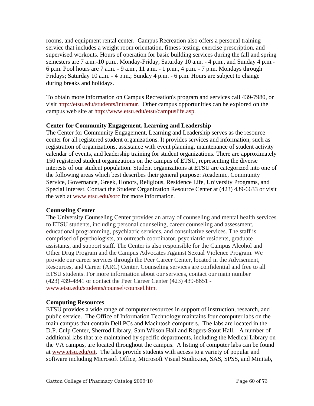rooms, and equipment rental center. Campus Recreation also offers a personal training service that includes a weight room orientation, fitness testing, exercise prescription, and supervised workouts. Hours of operation for basic building services during the fall and spring semesters are 7 a.m.-10 p.m., Monday-Friday, Saturday 10 a.m. - 4 p.m., and Sunday 4 p.m.- 6 p.m. Pool hours are 7 a.m. - 9 a.m., 11 a.m. - 1 p.m., 4 p.m. - 7 p.m. Mondays through Fridays; Saturday 10 a.m. - 4 p.m.; Sunday 4 p.m. - 6 p.m. Hours are subject to change during breaks and holidays.

To obtain more information on Campus Recreation's program and services call 439-7980, or visit http://etsu.edu/students/intramur. Other campus opportunities can be explored on the campus web site at http://www.etsu.edu/etsu/campuslife.asp.

# **Center for Community Engagement, Learning and Leadership**

The Center for Community Engagement, Learning and Leadership serves as the resource center for all registered student organizations. It provides services and information, such as registration of organizations, assistance with event planning, maintenance of student activity calendar of events, and leadership training for student organizations. There are approximately 150 registered student organizations on the campus of ETSU, representing the diverse interests of our student population. Student organizations at ETSU are categorized into one of the following areas which best describes their general purpose: Academic, Community Service, Governance, Greek, Honors, Religious, Residence Life, University Programs, and Special Interest. Contact the Student Organization Resource Center at (423) 439-6633 or visit the web at www.etsu.edu/sorc for more information.

# **Counseling Center**

The University Counseling Center provides an array of counseling and mental health services to ETSU students, including personal counseling, career counseling and assessment, educational programming, psychiatric services, and consultative services. The staff is comprised of psychologists, an outreach coordinator, psychiatric residents, graduate assistants, and support staff. The Center is also responsible for the Campus Alcohol and Other Drug Program and the Campus Advocates Against Sexual Violence Program. We provide our career services through the Peer Career Center, located in the Advisement, Resources, and Career (ARC) Center. Counseling services are confidential and free to all ETSU students. For more information about our services, contact our main number (423) 439-4841 or contact the Peer Career Center (423) 439-8651 www.etsu.edu/students/counsel/counsel.htm.

# **Computing Resources**

ETSU provides a wide range of computer resources in support of instruction, research, and public service. The Office of Information Technology maintains four computer labs on the main campus that contain Dell PCs and Macintosh computers. The labs are located in the D.P. Culp Center, Sherrod Library, Sam Wilson Hall and Rogers-Stout Hall. A number of additional labs that are maintained by specific departments, including the Medical Library on the VA campus, are located throughout the campus. A listing of computer labs can be found at www.etsu.edu/oit. The labs provide students with access to a variety of popular and software including Microsoft Office, Microsoft Visual Studio.net, SAS, SPSS, and Minitab,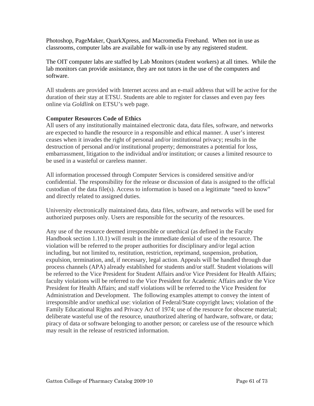Photoshop, PageMaker, QuarkXpress, and Macromedia Freehand. When not in use as classrooms, computer labs are available for walk-in use by any registered student.

The OIT computer labs are staffed by Lab Monitors (student workers) at all times. While the lab monitors can provide assistance, they are not tutors in the use of the computers and software.

All students are provided with Internet access and an e-mail address that will be active for the duration of their stay at ETSU. Students are able to register for classes and even pay fees online via *Goldlink* on ETSU's web page.

# **Computer Resources Code of Ethics**

All users of any institutionally maintained electronic data, data files, software, and networks are expected to handle the resource in a responsible and ethical manner. A user's interest ceases when it invades the right of personal and/or institutional privacy; results in the destruction of personal and/or institutional property; demonstrates a potential for loss, embarrassment, litigation to the individual and/or institution; or causes a limited resource to be used in a wasteful or careless manner.

All information processed through Computer Services is considered sensitive and/or confidential. The responsibility for the release or discussion of data is assigned to the official custodian of the data file(s). Access to information is based on a legitimate "need to know" and directly related to assigned duties.

University electronically maintained data, data files, software, and networks will be used for authorized purposes only. Users are responsible for the security of the resources.

Any use of the resource deemed irresponsible or unethical (as defined in the Faculty Handbook section 1.10.1) will result in the immediate denial of use of the resource. The violation will be referred to the proper authorities for disciplinary and/or legal action including, but not limited to, restitution, restriction, reprimand, suspension, probation, expulsion, termination, and, if necessary, legal action. Appeals will be handled through due process channels (APA) already established for students and/or staff. Student violations will be referred to the Vice President for Student Affairs and/or Vice President for Health Affairs; faculty violations will be referred to the Vice President for Academic Affairs and/or the Vice President for Health Affairs; and staff violations will be referred to the Vice President for Administration and Development. The following examples attempt to convey the intent of irresponsible and/or unethical use: violation of Federal/State copyright laws; violation of the Family Educational Rights and Privacy Act of 1974; use of the resource for obscene material; deliberate wasteful use of the resource, unauthorized altering of hardware, software, or data; piracy of data or software belonging to another person; or careless use of the resource which may result in the release of restricted information.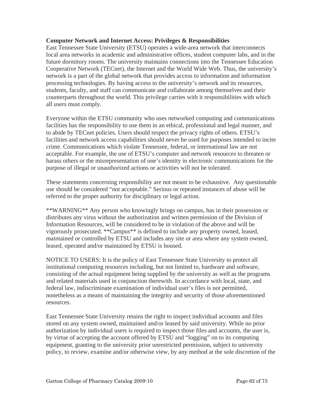#### **Computer Network and Internet Access: Privileges & Responsibilities**

East Tennessee State University (ETSU) operates a wide-area network that interconnects local area networks in academic and administrative offices, student computer labs, and in the future dormitory rooms. The university maintains connections into the Tennessee Education Cooperative Network (TECnet), the Internet and the World Wide Web. Thus, the university's network is a part of the global network that provides access to information and information processing technologies. By having access to the university's network and its resources, students, faculty, and staff can communicate and collaborate among themselves and their counterparts throughout the world. This privilege carries with it responsibilities with which all users must comply.

Everyone within the ETSU community who uses networked computing and communications facilities has the responsibility to use them in an ethical, professional and legal manner, and to abide by TECnet policies. Users should respect the privacy rights of others. ETSU's facilities and network access capabilities should never be used for purposes intended to incite crime. Communications which violate Tennessee, federal, or international law are not acceptable. For example, the use of ETSU's computer and network resources to threaten or harass others or the misrepresentation of one's identity in electronic communications for the purpose of illegal or unauthorized actions or activities will not be tolerated.

These statements concerning responsibility are not meant to be exhaustive. Any questionable use should be considered "not acceptable." Serious or repeated instances of abuse will be referred to the proper authority for disciplinary or legal action.

\*\*WARNING\*\* Any person who knowingly brings on campus, has in their possession or distributes any virus without the authorization and written permission of the Division of Information Resources, will be considered to be in violation of the above and will be vigorously prosecuted. \*\*Campus\*\* is defined to include any property owned, leased, maintained or controlled by ETSU and includes any site or area where any system owned, leased, operated and/or maintained by ETSU is housed.

NOTICE TO USERS: It is the policy of East Tennessee State University to protect all institutional computing resources including, but not limited to, hardware and software, consisting of the actual equipment being supplied by the university as well as the programs and related materials used in conjunction therewith. In accordance with local, state, and federal law, indiscriminate examination of individual user's files is not permitted, nonetheless as a means of maintaining the integrity and security of those aforementioned resources.

East Tennessee State University retains the right to inspect individual accounts and files stored on any system owned, maintained and/or leased by said university. While no prior authorization by individual users is required to inspect those files and accounts, the user is, by virtue of accepting the account offered by ETSU and "logging" on to its computing equipment, granting to the university prior unrestricted permission, subject to university policy, to review, examine and/or otherwise view, by any method at the sole discretion of the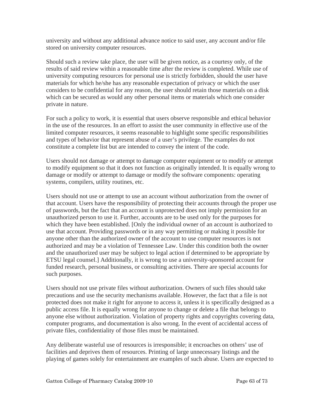university and without any additional advance notice to said user, any account and/or file stored on university computer resources.

Should such a review take place, the user will be given notice, as a courtesy only, of the results of said review within a reasonable time after the review is completed. While use of university computing resources for personal use is strictly forbidden, should the user have materials for which he/she has any reasonable expectation of privacy or which the user considers to be confidential for any reason, the user should retain those materials on a disk which can be secured as would any other personal items or materials which one consider private in nature.

For such a policy to work, it is essential that users observe responsible and ethical behavior in the use of the resources. In an effort to assist the user community in effective use of the limited computer resources, it seems reasonable to highlight some specific responsibilities and types of behavior that represent abuse of a user's privilege. The examples do not constitute a complete list but are intended to convey the intent of the code.

Users should not damage or attempt to damage computer equipment or to modify or attempt to modify equipment so that it does not function as originally intended. It is equally wrong to damage or modify or attempt to damage or modify the software components: operating systems, compilers, utility routines, etc.

Users should not use or attempt to use an account without authorization from the owner of that account. Users have the responsibility of protecting their accounts through the proper use of passwords, but the fact that an account is unprotected does not imply permission for an unauthorized person to use it. Further, accounts are to be used only for the purposes for which they have been established. [Only the individual owner of an account is authorized to use that account. Providing passwords or in any way permitting or making it possible for anyone other than the authorized owner of the account to use computer resources is not authorized and may be a violation of Tennessee Law. Under this condition both the owner and the unauthorized user may be subject to legal action if determined to be appropriate by ETSU legal counsel.] Additionally, it is wrong to use a university-sponsored account for funded research, personal business, or consulting activities. There are special accounts for such purposes.

Users should not use private files without authorization. Owners of such files should take precautions and use the security mechanisms available. However, the fact that a file is not protected does not make it right for anyone to access it, unless it is specifically designed as a public access file. It is equally wrong for anyone to change or delete a file that belongs to anyone else without authorization. Violation of property rights and copyrights covering data, computer programs, and documentation is also wrong. In the event of accidental access of private files, confidentiality of those files must be maintained.

Any deliberate wasteful use of resources is irresponsible; it encroaches on others' use of facilities and deprives them of resources. Printing of large unnecessary listings and the playing of games solely for entertainment are examples of such abuse. Users are expected to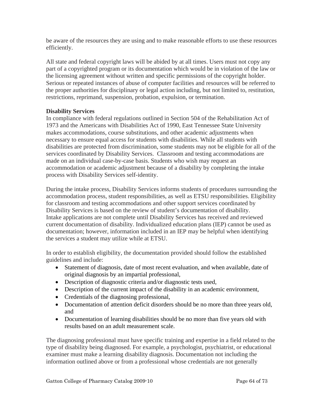be aware of the resources they are using and to make reasonable efforts to use these resources efficiently.

All state and federal copyright laws will be abided by at all times. Users must not copy any part of a copyrighted program or its documentation which would be in violation of the law or the licensing agreement without written and specific permissions of the copyright holder. Serious or repeated instances of abuse of computer facilities and resources will be referred to the proper authorities for disciplinary or legal action including, but not limited to, restitution, restrictions, reprimand, suspension, probation, expulsion, or termination.

## **Disability Services**

In compliance with federal regulations outlined in Section 504 of the Rehabilitation Act of 1973 and the Americans with Disabilities Act of 1990, East Tennessee State University makes accommodations, course substitutions, and other academic adjustments when necessary to ensure equal access for students with disabilities. While all students with disabilities are protected from discrimination, some students may not be eligible for all of the services coordinated by Disability Services. Classroom and testing accommodations are made on an individual case-by-case basis. Students who wish may request an accommodation or academic adjustment because of a disability by completing the intake process with Disability Services self-identity.

During the intake process, Disability Services informs students of procedures surrounding the accommodation process, student responsibilities, as well as ETSU responsibilities. Eligibility for classroom and testing accommodations and other support services coordinated by Disability Services is based on the review of student's documentation of disability. Intake applications are not complete until Disability Services has received and reviewed current documentation of disability. Individualized education plans (IEP) cannot be used as documentation; however, information included in an IEP may be helpful when identifying the services a student may utilize while at ETSU.

In order to establish eligibility, the documentation provided should follow the established guidelines and include:

- Statement of diagnosis, date of most recent evaluation, and when available, date of original diagnosis by an impartial professional,
- Description of diagnostic criteria and/or diagnostic tests used,
- Description of the current impact of the disability in an academic environment,
- Credentials of the diagnosing professional,
- Documentation of attention deficit disorders should be no more than three years old, and
- Documentation of learning disabilities should be no more than five years old with results based on an adult measurement scale.

The diagnosing professional must have specific training and expertise in a field related to the type of disability being diagnosed. For example, a psychologist, psychiatrist, or educational examiner must make a learning disability diagnosis. Documentation not including the information outlined above or from a professional whose credentials are not generally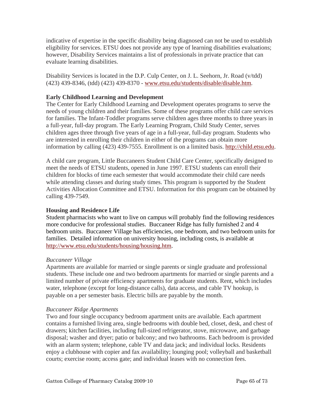indicative of expertise in the specific disability being diagnosed can not be used to establish eligibility for services. ETSU does not provide any type of learning disabilities evaluations; however, Disability Services maintains a list of professionals in private practice that can evaluate learning disabilities.

Disability Services is located in the D.P. Culp Center, on J. L. Seehorn, Jr. Road (v/tdd) (423) 439-8346, (tdd) (423) 439-8370 - www.etsu.edu/students/disable/disable.htm.

## **Early Childhood Learning and Development**

The Center for Early Childhood Learning and Development operates programs to serve the needs of young children and their families. Some of these programs offer child care services for families. The Infant-Toddler programs serve children ages three months to three years in a full-year, full-day program. The Early Learning Program, Child Study Center, serves children ages three through five years of age in a full-year, full-day program. Students who are interested in enrolling their children in either of the programs can obtain more information by calling (423) 439-7555. Enrollment is on a limited basis. http://child.etsu.edu.

A child care program, Little Buccaneers Student Child Care Center, specifically designed to meet the needs of ETSU students, opened in June 1997. ETSU students can enroll their children for blocks of time each semester that would accommodate their child care needs while attending classes and during study times. This program is supported by the Student Activities Allocation Committee and ETSU. Information for this program can be obtained by calling 439-7549.

#### **Housing and Residence Life**

Student pharmacists who want to live on campus will probably find the following residences more conducive for professional studies. Buccaneer Ridge has fully furnished 2 and 4 bedroom units. Buccaneer Village has efficiencies, one bedroom, and two bedroom units for families. Detailed information on university housing, including costs, is available at http://www.etsu.edu/students/housing/housing.htm.

#### *Buccaneer Village*

Apartments are available for married or single parents or single graduate and professional students. These include one and two bedroom apartments for married or single parents and a limited number of private efficiency apartments for graduate students. Rent, which includes water, telephone (except for long-distance calls), data access, and cable TV hookup, is payable on a per semester basis. Electric bills are payable by the month.

#### *Buccaneer Ridge Apartments*

Two and four single occupancy bedroom apartment units are available. Each apartment contains a furnished living area, single bedrooms with double bed, closet, desk, and chest of drawers; kitchen facilities, including full-sized refrigerator, stove, microwave, and garbage disposal; washer and dryer; patio or balcony; and two bathrooms. Each bedroom is provided with an alarm system; telephone, cable TV and data jack; and individual locks. Residents enjoy a clubhouse with copier and fax availability; lounging pool; volleyball and basketball courts; exercise room; access gate; and individual leases with no connection fees.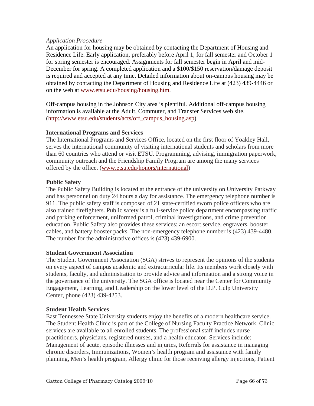#### *Application Procedure*

An application for housing may be obtained by contacting the Department of Housing and Residence Life. Early application, preferably before April 1, for fall semester and October 1 for spring semester is encouraged. Assignments for fall semester begin in April and mid-December for spring. A completed application and a \$100/\$150 reservation/damage deposit is required and accepted at any time. Detailed information about on-campus housing may be obtained by contacting the Department of Housing and Residence Life at (423) 439-4446 or on the web at www.etsu.edu/housing/housing.htm.

Off-campus housing in the Johnson City area is plentiful. Additional off-campus housing information is available at the Adult, Commuter, and Transfer Services web site. (http://www.etsu.edu/students/acts/off\_campus\_housing.asp)

# **International Programs and Services**

The International Programs and Services Office, located on the first floor of Yoakley Hall, serves the international community of visiting international students and scholars from more than 60 countries who attend or visit ETSU. Programming, advising, immigration paperwork, community outreach and the Friendship Family Program are among the many services offered by the office. (www.etsu.edu/honors/international)

## **Public Safety**

The Public Safety Building is located at the entrance of the university on University Parkway and has personnel on duty 24 hours a day for assistance. The emergency telephone number is 911. The public safety staff is composed of 21 state-certified sworn police officers who are also trained firefighters. Public safety is a full-service police department encompassing traffic and parking enforcement, uniformed patrol, criminal investigations, and crime prevention education. Public Safety also provides these services: an escort service, engravers, booster cables, and battery booster packs. The non-emergency telephone number is (423) 439-4480. The number for the administrative offices is (423) 439-6900.

#### **Student Government Association**

The Student Government Association (SGA) strives to represent the opinions of the students on every aspect of campus academic and extracurricular life. Its members work closely with students, faculty, and administration to provide advice and information and a strong voice in the governance of the university. The SGA office is located near the Center for Community Engagement, Learning, and Leadership on the lower level of the D.P. Culp University Center, phone (423) 439-4253.

#### **Student Health Services**

East Tennessee State University students enjoy the benefits of a modern healthcare service. The Student Health Clinic is part of the College of Nursing Faculty Practice Network. Clinic services are available to all enrolled students. The professional staff includes nurse practitioners, physicians, registered nurses, and a health educator. Services include: Management of acute, episodic illnesses and injuries, Referrals for assistance in managing chronic disorders, Immunizations, Women's health program and assistance with family planning, Men's health program, Allergy clinic for those receiving allergy injections, Patient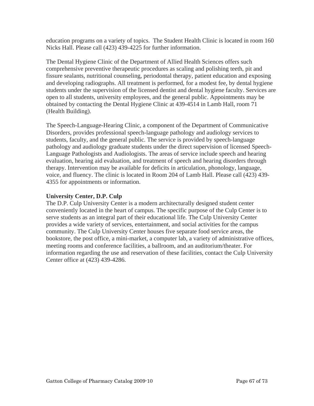education programs on a variety of topics. The Student Health Clinic is located in room 160 Nicks Hall. Please call (423) 439-4225 for further information.

The Dental Hygiene Clinic of the Department of Allied Health Sciences offers such comprehensive preventive therapeutic procedures as scaling and polishing teeth, pit and fissure sealants, nutritional counseling, periodontal therapy, patient education and exposing and developing radiographs. All treatment is performed, for a modest fee, by dental hygiene students under the supervision of the licensed dentist and dental hygiene faculty. Services are open to all students, university employees, and the general public. Appointments may be obtained by contacting the Dental Hygiene Clinic at 439-4514 in Lamb Hall, room 71 (Health Building).

The Speech-Language-Hearing Clinic, a component of the Department of Communicative Disorders, provides professional speech-language pathology and audiology services to students, faculty, and the general public. The service is provided by speech-language pathology and audiology graduate students under the direct supervision of licensed Speech-Language Pathologists and Audiologists. The areas of service include speech and hearing evaluation, hearing aid evaluation, and treatment of speech and hearing disorders through therapy. Intervention may be available for deficits in articulation, phonology, language, voice, and fluency. The clinic is located in Room 204 of Lamb Hall. Please call (423) 439- 4355 for appointments or information.

# **University Center, D.P. Culp**

The D.P. Culp University Center is a modern architecturally designed student center conveniently located in the heart of campus. The specific purpose of the Culp Center is to serve students as an integral part of their educational life. The Culp University Center provides a wide variety of services, entertainment, and social activities for the campus community. The Culp University Center houses five separate food service areas, the bookstore, the post office, a mini-market, a computer lab, a variety of administrative offices, meeting rooms and conference facilities, a ballroom, and an auditorium/theater. For information regarding the use and reservation of these facilities, contact the Culp University Center office at (423) 439-4286.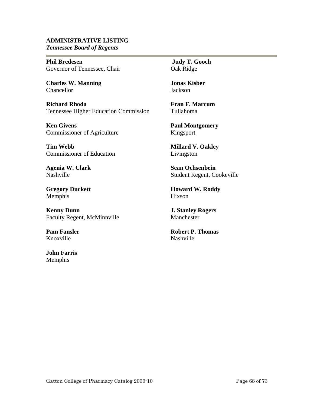#### **ADMINISTRATIVE LISTING** *Tennessee Board of Regents*

**Phil Bredesen**  Governor of Tennessee, Chair

**Charles W. Manning**  Chancellor

e e

**Richard Rhoda**  Tennessee Higher Education Commission

**Ken Givens**  Commissioner of Agriculture

**Tim Webb**  Commissioner of Education

**Agenia W. Clark**  Nashville

**Gregory Duckett**  Memphis

**Kenny Dunn**  Faculty Regent, McMinnville

**Pam Fansler**  Knoxville

**John Farris**  Memphis

 **Judy T. Gooch**  Oak Ridge

**Jonas Kisber**  Jackson

**Fran F. Marcum**  Tullahoma

**Paul Montgomery**  Kingsport

**Millard V. Oakley**  Livingston

**Sean Ochsenbein**  Student Regent, Cookeville

**Howard W. Roddy**  Hixson

**J. Stanley Rogers**  Manchester

**Robert P. Thomas**  Nashville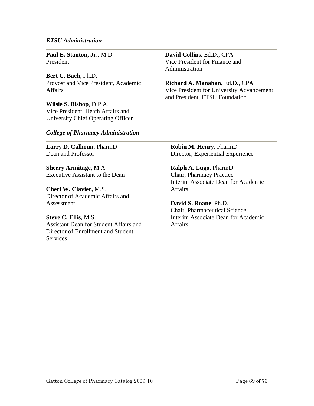#### *ETSU Administration*

**Paul E. Stanton, Jr.**, M.D. President

**Bert C. Bach**, Ph.D. Provost and Vice President, Academic Affairs

**Wilsie S. Bishop**, D.P.A. Vice President, Heath Affairs and University Chief Operating Officer **David Collins**, Ed.D., CPA Vice President for Finance and Administration

**Richard A. Manahan**, Ed.D., CPA Vice President for University Advancement and President, ETSU Foundation

#### *College of Pharmacy Administration*

**Larry D. Calhoun**, PharmD Dean and Professor

**Sherry Armitage**, M.A. Executive Assistant to the Dean

**Cheri W. Clavier,** M.S. Director of Academic Affairs and Assessment

**Steve C. Ellis**, M.S. Assistant Dean for Student Affairs and Director of Enrollment and Student **Services** 

**Robin M. Henry**, PharmD Director, Experiential Experience

**Ralph A. Lugo**, PharmD Chair, Pharmacy Practice Interim Associate Dean for Academic **Affairs** 

**David S. Roane**, Ph.D. Chair, Pharmaceutical Science Interim Associate Dean for Academic **Affairs**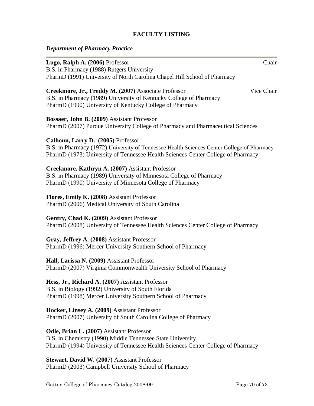## **FACULTY LISTING**

# *Department of Pharmacy Practice*

| Lugo, Ralph A. (2006) Professor                                                                                                                                                                                      | Chair      |
|----------------------------------------------------------------------------------------------------------------------------------------------------------------------------------------------------------------------|------------|
| B.S. in Pharmacy (1988) Rutgers University<br>PharmD (1991) University of North Carolina Chapel Hill School of Pharmacy                                                                                              |            |
| Creekmore, Jr., Freddy M. (2007) Associate Professor<br>B.S. in Pharmacy (1989) University of Kentucky College of Pharmacy<br>PharmD (1990) University of Kentucky College of Pharmacy                               | Vice Chair |
| Bossaer, John B. (2009) Assistant Professor<br>PharmD (2007) Purdue University College of Pharmacy and Pharmaceutical Sciences                                                                                       |            |
| Calhoun, Larry D. (2005) Professor<br>B.S. in Pharmacy (1972) University of Tennessee Health Sciences Center College of Pharmacy<br>PharmD (1973) University of Tennessee Health Sciences Center College of Pharmacy |            |
| Creekmore, Kathryn A. (2007) Assistant Professor<br>B.S. in Pharmacy (1989) University of Minnesota College of Pharmacy<br>PharmD (1990) University of Minnesota College of Pharmacy                                 |            |
| Flores, Emily K. (2008) Assistant Professor<br>PharmD (2006) Medical University of South Carolina                                                                                                                    |            |
| Gentry, Chad K. (2009) Assistant Professor<br>PharmD (2008) University of Tennessee Health Sciences Center College of Pharmacy                                                                                       |            |
| Gray, Jeffrey A. (2008) Assistant Professor<br>PharmD (1996) Mercer University Southern School of Pharmacy                                                                                                           |            |
| Hall, Larissa N. (2009) Assistant Professor<br>PharmD (2007) Virginia Commonwealth University School of Pharmacy                                                                                                     |            |
| Hess, Jr., Richard A. (2007) Assistant Professor<br>B.S. in Biology (1992) University of South Florida<br>PharmD (1998) Mercer University Southern School of Pharmacy                                                |            |
| Hocker, Linsey A. (2009) Assistant Professor<br>PharmD (2007) University of South Carolina College of Pharmacy                                                                                                       |            |
| Odle, Brian L. (2007) Assistant Professor<br>B.S. in Chemistry (1990) Middle Tennessee State University<br>PharmD (1994) University of Tennessee Health Sciences Center College of Pharmacy                          |            |
| <b>Stewart, David W. (2007)</b> Assistant Professor                                                                                                                                                                  |            |

**Stewart, David W. (2007)** Assistant Professor PharmD (2003) Campbell University School of Pharmacy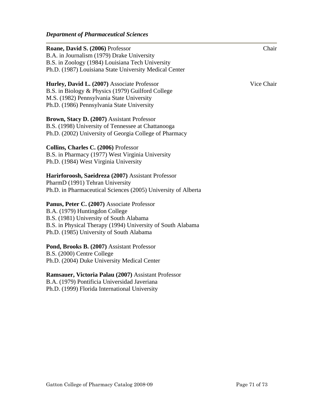| Roane, David S. (2006) Professor                              | Chair      |
|---------------------------------------------------------------|------------|
| B.A. in Journalism (1979) Drake University                    |            |
| B.S. in Zoology (1984) Louisiana Tech University              |            |
| Ph.D. (1987) Louisiana State University Medical Center        |            |
| Hurley, David L. (2007) Associate Professor                   | Vice Chair |
| B.S. in Biology & Physics (1979) Guilford College             |            |
| M.S. (1982) Pennsylvania State University                     |            |
| Ph.D. (1986) Pennsylvania State University                    |            |
| Brown, Stacy D. (2007) Assistant Professor                    |            |
| B.S. (1998) University of Tennessee at Chattanooga            |            |
| Ph.D. (2002) University of Georgia College of Pharmacy        |            |
| Collins, Charles C. (2006) Professor                          |            |
| B.S. in Pharmacy (1977) West Virginia University              |            |
| Ph.D. (1984) West Virginia University                         |            |
| Harirforoosh, Saeidreza (2007) Assistant Professor            |            |
| PharmD (1991) Tehran University                               |            |
| Ph.D. in Pharmaceutical Sciences (2005) University of Alberta |            |
| Panus, Peter C. (2007) Associate Professor                    |            |
| B.A. (1979) Huntingdon College                                |            |
| B.S. (1981) University of South Alabama                       |            |
| B.S. in Physical Therapy (1994) University of South Alabama   |            |
| Ph.D. (1985) University of South Alabama                      |            |
| Pond, Brooks B. (2007) Assistant Professor                    |            |
| B.S. (2000) Centre College                                    |            |
| Ph.D. (2004) Duke University Medical Center                   |            |
| Ramsauer, Victoria Palau (2007) Assistant Professor           |            |
| B.A. (1979) Pontificia Universidad Javeriana                  |            |
| Ph.D. (1999) Florida International University                 |            |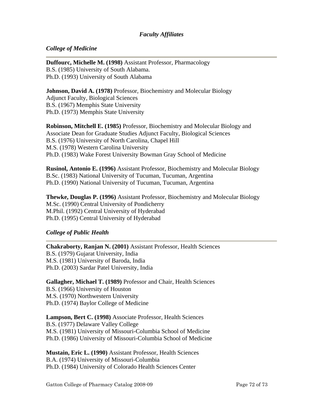## *Faculty Affiliates*

## *College of Medicine*

**Duffourc, Michelle M. (1998)** Assistant Professor, Pharmacology B.S. (1985) University of South Alabama. Ph.D. (1993) University of South Alabama

**Johnson, David A. (1978)** Professor, Biochemistry and Molecular Biology Adjunct Faculty, Biological Sciences B.S. (1967) Memphis State University Ph.D. (1973) Memphis State University

**Robinson, Mitchell E. (1985)** Professor, Biochemistry and Molecular Biology and Associate Dean for Graduate Studies Adjunct Faculty, Biological Sciences B.S. (1976) University of North Carolina, Chapel Hill M.S. (1978) Western Carolina University Ph.D. (1983) Wake Forest University Bowman Gray School of Medicine

**Rusinol, Antonio E. (1996)** Assistant Professor, Biochemistry and Molecular Biology B.Sc. (1983) National University of Tucuman, Tucuman, Argentina Ph.D. (1990) National University of Tucuman, Tucuman, Argentina

**Thewke, Douglas P. (1996)** Assistant Professor, Biochemistry and Molecular Biology M.Sc. (1990) Central University of Pondicherry M.Phil. (1992) Central University of Hyderabad Ph.D. (1995) Central University of Hyderabad

#### *College of Public Health*

**Chakraborty, Ranjan N. (2001)** Assistant Professor, Health Sciences B.S. (1979) Gujarat University, India M.S. (1981) University of Baroda, India Ph.D. (2003) Sardar Patel University, India

**Gallagher, Michael T. (1989)** Professor and Chair, Health Sciences B.S. (1966) University of Houston M.S. (1970) Northwestern University Ph.D. (1974) Baylor College of Medicine

**Lampson, Bert C. (1998)** Associate Professor, Health Sciences B.S. (1977) Delaware Valley College M.S. (1981) University of Missouri-Columbia School of Medicine Ph.D. (1986) University of Missouri-Columbia School of Medicine

**Mustain, Eric L. (1990)** Assistant Professor, Health Sciences B.A. (1974) University of Missouri-Columbia Ph.D. (1984) University of Colorado Health Sciences Center